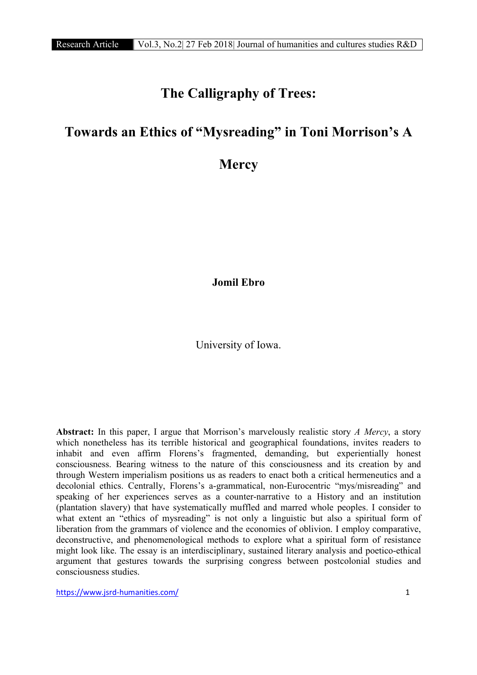# The Calligraphy of Trees:

## Towards an Ethics of "Mysreading" in Toni Morrison's A

### **Mercy**

Jomil Ebro

### University of Iowa.

Abstract: In this paper, I argue that Morrison's marvelously realistic story *A Mercy*, a story which nonetheless has its terrible historical and geographical foundations, invites readers to inhabit and even affirm Florens's fragmented, demanding, but experientially honest consciousness. Bearing witness to the nature of this consciousness and its creation by and through Western imperialism positions us as readers to enact both a critical hermeneutics and a decolonial ethics. Centrally, Florens's a-grammatical, non-Eurocentric "mys/misreading" and speaking of her experiences serves as a counter-narrative to a History and an institution (plantation slavery) that have systematically muffled and marred whole peoples. I consider to what extent an "ethics of mysreading" is not only a linguistic but also a spiritual form of liberation from the grammars of violence and the economies of oblivion. I employ comparative, deconstructive, and phenomenological methods to explore what a spiritual form of resistance might look like. The essay is an interdisciplinary, sustained literary analysis and poetico-ethical argument that gestures towards the surprising congress between postcolonial studies and consciousness studies.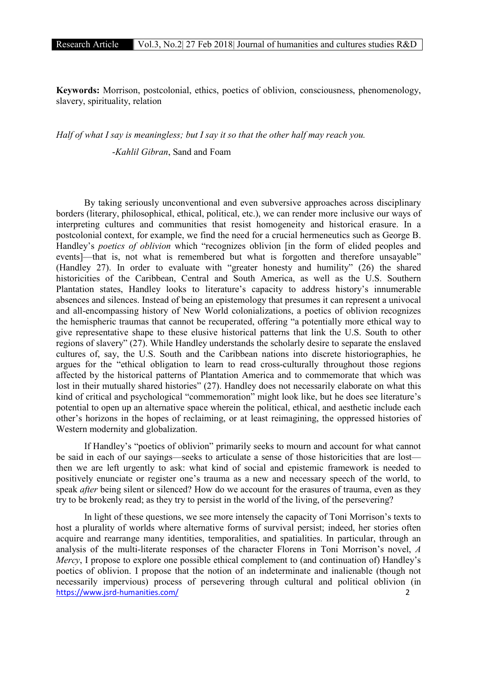Keywords: Morrison, postcolonial, ethics, poetics of oblivion, consciousness, phenomenology, slavery, spirituality, relation

*Half of what I say is meaningless; but I say it so that the other half may reach you.* 

-*Kahlil Gibran*, Sand and Foam

By taking seriously unconventional and even subversive approaches across disciplinary borders (literary, philosophical, ethical, political, etc.), we can render more inclusive our ways of interpreting cultures and communities that resist homogeneity and historical erasure. In a postcolonial context, for example, we find the need for a crucial hermeneutics such as George B. Handley's *poetics of oblivion* which "recognizes oblivion [in the form of elided peoples and events]—that is, not what is remembered but what is forgotten and therefore unsayable" (Handley 27). In order to evaluate with "greater honesty and humility" (26) the shared historicities of the Caribbean, Central and South America, as well as the U.S. Southern Plantation states, Handley looks to literature's capacity to address history's innumerable absences and silences. Instead of being an epistemology that presumes it can represent a univocal and all-encompassing history of New World colonializations, a poetics of oblivion recognizes the hemispheric traumas that cannot be recuperated, offering "a potentially more ethical way to give representative shape to these elusive historical patterns that link the U.S. South to other regions of slavery" (27). While Handley understands the scholarly desire to separate the enslaved cultures of, say, the U.S. South and the Caribbean nations into discrete historiographies, he argues for the "ethical obligation to learn to read cross-culturally throughout those regions affected by the historical patterns of Plantation America and to commemorate that which was lost in their mutually shared histories" (27). Handley does not necessarily elaborate on what this kind of critical and psychological "commemoration" might look like, but he does see literature's potential to open up an alternative space wherein the political, ethical, and aesthetic include each other's horizons in the hopes of reclaiming, or at least reimagining, the oppressed histories of Western modernity and globalization.

If Handley's "poetics of oblivion" primarily seeks to mourn and account for what cannot be said in each of our sayings—seeks to articulate a sense of those historicities that are lost then we are left urgently to ask: what kind of social and epistemic framework is needed to positively enunciate or register one's trauma as a new and necessary speech of the world, to speak *after* being silent or silenced? How do we account for the erasures of trauma, even as they try to be brokenly read; as they try to persist in the world of the living, of the persevering?

https://www.jsrd-humanities.com/ 2 In light of these questions, we see more intensely the capacity of Toni Morrison's texts to host a plurality of worlds where alternative forms of survival persist; indeed, her stories often acquire and rearrange many identities, temporalities, and spatialities. In particular, through an analysis of the multi-literate responses of the character Florens in Toni Morrison's novel, *A Mercy*, I propose to explore one possible ethical complement to (and continuation of) Handley's poetics of oblivion. I propose that the notion of an indeterminate and inalienable (though not necessarily impervious) process of persevering through cultural and political oblivion (in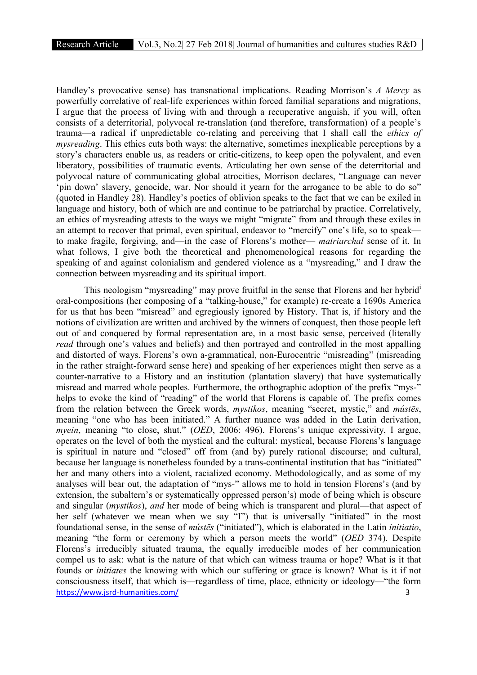Handley's provocative sense) has transnational implications. Reading Morrison's *A Mercy* as powerfully correlative of real-life experiences within forced familial separations and migrations, I argue that the process of living with and through a recuperative anguish, if you will, often consists of a deterritorial, polyvocal re-translation (and therefore, transformation) of a people's trauma—a radical if unpredictable co-relating and perceiving that I shall call the *ethics of mysreading*. This ethics cuts both ways: the alternative, sometimes inexplicable perceptions by a story's characters enable us, as readers or critic-citizens, to keep open the polyvalent, and even liberatory, possibilities of traumatic events. Articulating her own sense of the deterritorial and polyvocal nature of communicating global atrocities, Morrison declares, "Language can never 'pin down' slavery, genocide, war. Nor should it yearn for the arrogance to be able to do so" (quoted in Handley 28). Handley's poetics of oblivion speaks to the fact that we can be exiled in language and history, both of which are and continue to be patriarchal by practice. Correlatively, an ethics of mysreading attests to the ways we might "migrate" from and through these exiles in an attempt to recover that primal, even spiritual, endeavor to "mercify" one's life, so to speak to make fragile, forgiving, and—in the case of Florens's mother— *matriarchal* sense of it. In what follows, I give both the theoretical and phenomenological reasons for regarding the speaking of and against colonialism and gendered violence as a "mysreading," and I draw the connection between mysreading and its spiritual import.

https://www.jsrd-humanities.com/ 3 This neologism "mysreading" may prove fruitful in the sense that Florens and her hybrid<sup>1</sup> oral-compositions (her composing of a "talking-house," for example) re-create a 1690s America for us that has been "misread" and egregiously ignored by History. That is, if history and the notions of civilization are written and archived by the winners of conquest, then those people left out of and conquered by formal representation are, in a most basic sense, perceived (literally *read* through one's values and beliefs) and then portrayed and controlled in the most appalling and distorted of ways. Florens's own a-grammatical, non-Eurocentric "misreading" (misreading in the rather straight-forward sense here) and speaking of her experiences might then serve as a counter-narrative to a History and an institution (plantation slavery) that have systematically misread and marred whole peoples. Furthermore, the orthographic adoption of the prefix "mys-" helps to evoke the kind of "reading" of the world that Florens is capable of. The prefix comes from the relation between the Greek words, *mystikos*, meaning "secret, mystic," and *mústēs*, meaning "one who has been initiated." A further nuance was added in the Latin derivation, *myein*, meaning "to close, shut," (*OED*, 2006: 496). Florens's unique expressivity, I argue, operates on the level of both the mystical and the cultural: mystical, because Florens's language is spiritual in nature and "closed" off from (and by) purely rational discourse; and cultural, because her language is nonetheless founded by a trans-continental institution that has "initiated" her and many others into a violent, racialized economy. Methodologically, and as some of my analyses will bear out, the adaptation of "mys-" allows me to hold in tension Florens's (and by extension, the subaltern's or systematically oppressed person's) mode of being which is obscure and singular (*mystikos*), *and* her mode of being which is transparent and plural—that aspect of her self (whatever we mean when we say "I") that is universally "initiated" in the most foundational sense, in the sense of *mústēs* ("initiated"), which is elaborated in the Latin *initiatio*, meaning "the form or ceremony by which a person meets the world" (*OED* 374). Despite Florens's irreducibly situated trauma, the equally irreducible modes of her communication compel us to ask: what is the nature of that which can witness trauma or hope? What is it that founds or *initiates* the knowing with which our suffering or grace is known? What is it if not consciousness itself, that which is—regardless of time, place, ethnicity or ideology—"the form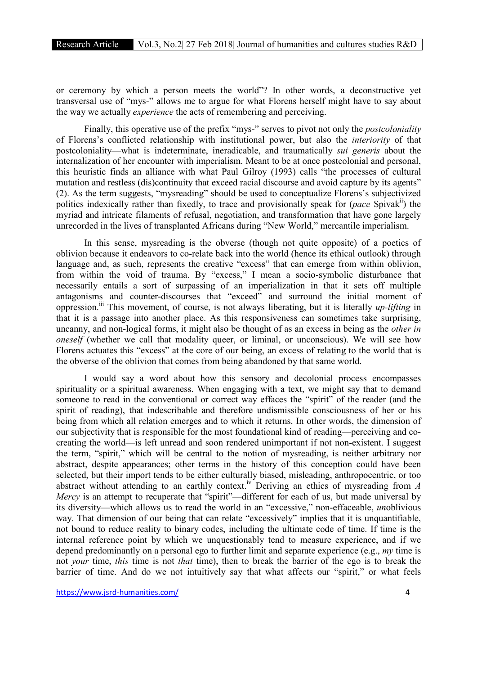or ceremony by which a person meets the world"? In other words, a deconstructive yet transversal use of "mys-" allows me to argue for what Florens herself might have to say about the way we actually *experience* the acts of remembering and perceiving.

Finally, this operative use of the prefix "mys-" serves to pivot not only the *postcoloniality* of Florens's conflicted relationship with institutional power, but also the *interiority* of that postcoloniality—what is indeterminate, ineradicable, and traumatically *sui generis* about the internalization of her encounter with imperialism. Meant to be at once postcolonial and personal, this heuristic finds an alliance with what Paul Gilroy (1993) calls "the processes of cultural mutation and restless (dis)continuity that exceed racial discourse and avoid capture by its agents" (2). As the term suggests, "mysreading" should be used to conceptualize Florens's subjectivized politics indexically rather than fixedly, to trace and provisionally speak for (*pace* Spivak<sup>ii</sup>) the myriad and intricate filaments of refusal, negotiation, and transformation that have gone largely unrecorded in the lives of transplanted Africans during "New World," mercantile imperialism.

In this sense, mysreading is the obverse (though not quite opposite) of a poetics of oblivion because it endeavors to co-relate back into the world (hence its ethical outlook) through language and, as such, represents the creative "excess" that can emerge from within oblivion, from within the void of trauma. By "excess," I mean a socio-symbolic disturbance that necessarily entails a sort of surpassing of an imperialization in that it sets off multiple antagonisms and counter-discourses that "exceed" and surround the initial moment of oppression.<sup>iii</sup> This movement, of course, is not always liberating, but it is literally *up-lifting* in that it is a passage into another place. As this responsiveness can sometimes take surprising, uncanny, and non-logical forms, it might also be thought of as an excess in being as the *other in oneself* (whether we call that modality queer, or liminal, or unconscious). We will see how Florens actuates this "excess" at the core of our being, an excess of relating to the world that is the obverse of the oblivion that comes from being abandoned by that same world.

I would say a word about how this sensory and decolonial process encompasses spirituality or a spiritual awareness. When engaging with a text, we might say that to demand someone to read in the conventional or correct way effaces the "spirit" of the reader (and the spirit of reading), that indescribable and therefore undismissible consciousness of her or his being from which all relation emerges and to which it returns. In other words, the dimension of our subjectivity that is responsible for the most foundational kind of reading—perceiving and cocreating the world—is left unread and soon rendered unimportant if not non-existent. I suggest the term, "spirit," which will be central to the notion of mysreading, is neither arbitrary nor abstract, despite appearances; other terms in the history of this conception could have been selected, but their import tends to be either culturally biased, misleading, anthropocentric, or too abstract without attending to an earthly context.<sup>iv</sup> Deriving an ethics of mysreading from *A Mercy* is an attempt to recuperate that "spirit"—different for each of us, but made universal by its diversity—which allows us to read the world in an "excessive," non-effaceable, *un*oblivious way. That dimension of our being that can relate "excessively" implies that it is unquantifiable, not bound to reduce reality to binary codes, including the ultimate code of time. If time is the internal reference point by which we unquestionably tend to measure experience, and if we depend predominantly on a personal ego to further limit and separate experience (e.g., *my* time is not *your* time, *this* time is not *that* time), then to break the barrier of the ego is to break the barrier of time. And do we not intuitively say that what affects our "spirit," or what feels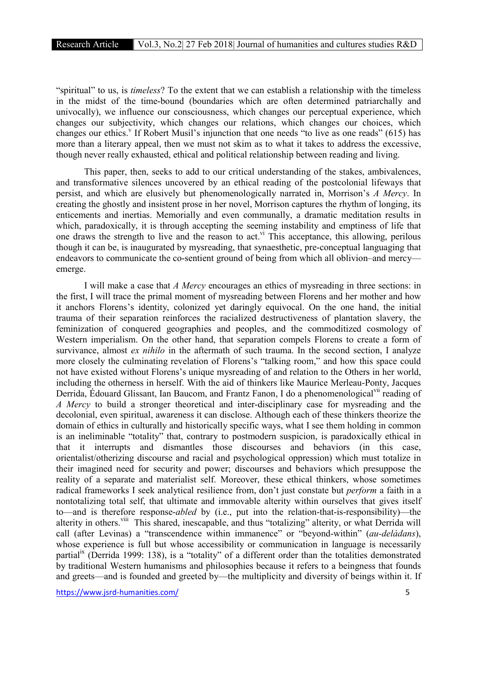"spiritual" to us, is *timeless*? To the extent that we can establish a relationship with the timeless in the midst of the time-bound (boundaries which are often determined patriarchally and univocally), we influence our consciousness, which changes our perceptual experience, which changes our subjectivity, which changes our relations, which changes our choices, which changes our ethics.<sup>v</sup> If Robert Musil's injunction that one needs "to live as one reads" (615) has more than a literary appeal, then we must not skim as to what it takes to address the excessive, though never really exhausted, ethical and political relationship between reading and living.

This paper, then, seeks to add to our critical understanding of the stakes, ambivalences, and transformative silences uncovered by an ethical reading of the postcolonial lifeways that persist, and which are elusively but phenomenologically narrated in, Morrison's *A Mercy*. In creating the ghostly and insistent prose in her novel, Morrison captures the rhythm of longing, its enticements and inertias. Memorially and even communally, a dramatic meditation results in which, paradoxically, it is through accepting the seeming instability and emptiness of life that one draws the strength to live and the reason to act.<sup>vi</sup> This acceptance, this allowing, perilous though it can be, is inaugurated by mysreading, that synaesthetic, pre-conceptual languaging that endeavors to communicate the co-sentient ground of being from which all oblivion–and mercy emerge.

I will make a case that *A Mercy* encourages an ethics of mysreading in three sections: in the first, I will trace the primal moment of mysreading between Florens and her mother and how it anchors Florens's identity, colonized yet daringly equivocal. On the one hand, the initial trauma of their separation reinforces the racialized destructiveness of plantation slavery, the feminization of conquered geographies and peoples, and the commoditized cosmology of Western imperialism. On the other hand, that separation compels Florens to create a form of survivance, almost *ex nihilo* in the aftermath of such trauma. In the second section, I analyze more closely the culminating revelation of Florens's "talking room," and how this space could not have existed without Florens's unique mysreading of and relation to the Others in her world, including the otherness in herself. With the aid of thinkers like Maurice Merleau-Ponty, Jacques Derrida, Edouard Glissant, Ian Baucom, and Frantz Fanon, I do a phenomenological<sup>vii</sup> reading of *A Mercy* to build a stronger theoretical and inter-disciplinary case for mysreading and the decolonial, even spiritual, awareness it can disclose. Although each of these thinkers theorize the domain of ethics in culturally and historically specific ways, what I see them holding in common is an ineliminable "totality" that, contrary to postmodern suspicion, is paradoxically ethical in that it interrupts and dismantles those discourses and behaviors (in this case, orientalist/otherizing discourse and racial and psychological oppression) which must totalize in their imagined need for security and power; discourses and behaviors which presuppose the reality of a separate and materialist self. Moreover, these ethical thinkers, whose sometimes radical frameworks I seek analytical resilience from, don't just constate but *perform* a faith in a nontotalizing total self, that ultimate and immovable alterity within ourselves that gives itself to—and is therefore response-*abled* by (i.e., put into the relation-that-is-responsibility)—the alterity in others.<sup>viii</sup> This shared, inescapable, and thus "totalizing" alterity, or what Derrida will call (after Levinas) a "transcendence within immanence" or "beyond-within" (*au-delàdans*), whose experience is full but whose accessibility or communication in language is necessarily partial<sup>ix</sup> (Derrida 1999: 138), is a "totality" of a different order than the totalities demonstrated by traditional Western humanisms and philosophies because it refers to a beingness that founds and greets—and is founded and greeted by—the multiplicity and diversity of beings within it. If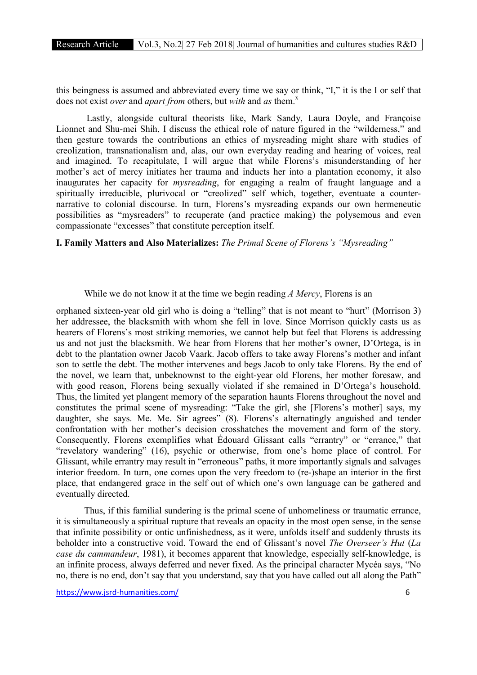this beingness is assumed and abbreviated every time we say or think, "I," it is the I or self that does not exist *over* and *apart from* others, but *with* and *as* them.<sup>x</sup>

Lastly, alongside cultural theorists like, Mark Sandy, Laura Doyle, and Françoise Lionnet and Shu-mei Shih, I discuss the ethical role of nature figured in the "wilderness," and then gesture towards the contributions an ethics of mysreading might share with studies of creolization, transnationalism and, alas, our own everyday reading and hearing of voices, real and imagined. To recapitulate, I will argue that while Florens's misunderstanding of her mother's act of mercy initiates her trauma and inducts her into a plantation economy, it also inaugurates her capacity for *mysreading*, for engaging a realm of fraught language and a spiritually irreducible, plurivocal or "creolized" self which, together, eventuate a counternarrative to colonial discourse. In turn, Florens's mysreading expands our own hermeneutic possibilities as "mysreaders" to recuperate (and practice making) the polysemous and even compassionate "excesses" that constitute perception itself.

I. Family Matters and Also Materializes: *The Primal Scene of Florens's "Mysreading"*

#### While we do not know it at the time we begin reading *A Mercy*, Florens is an

orphaned sixteen-year old girl who is doing a "telling" that is not meant to "hurt" (Morrison 3) her addressee, the blacksmith with whom she fell in love. Since Morrison quickly casts us as hearers of Florens's most striking memories, we cannot help but feel that Florens is addressing us and not just the blacksmith. We hear from Florens that her mother's owner, D'Ortega, is in debt to the plantation owner Jacob Vaark. Jacob offers to take away Florens's mother and infant son to settle the debt. The mother intervenes and begs Jacob to only take Florens. By the end of the novel, we learn that, unbeknownst to the eight-year old Florens, her mother foresaw, and with good reason, Florens being sexually violated if she remained in D'Ortega's household. Thus, the limited yet plangent memory of the separation haunts Florens throughout the novel and constitutes the primal scene of mysreading: "Take the girl, she [Florens's mother] says, my daughter, she says. Me. Me. Sir agrees" (8). Florens's alternatingly anguished and tender confrontation with her mother's decision crosshatches the movement and form of the story. Consequently, Florens exemplifies what Édouard Glissant calls "errantry" or "errance," that "revelatory wandering" (16), psychic or otherwise, from one's home place of control. For Glissant, while errantry may result in "erroneous" paths, it more importantly signals and salvages interior freedom. In turn, one comes upon the very freedom to (re-)shape an interior in the first place, that endangered grace in the self out of which one's own language can be gathered and eventually directed.

Thus, if this familial sundering is the primal scene of unhomeliness or traumatic errance, it is simultaneously a spiritual rupture that reveals an opacity in the most open sense, in the sense that infinite possibility or ontic unfinishedness, as it were, unfolds itself and suddenly thrusts its beholder into a constructive void. Toward the end of Glissant's novel *The Overseer's Hut* (*La case du cammandeur*, 1981), it becomes apparent that knowledge, especially self-knowledge, is an infinite process, always deferred and never fixed. As the principal character Mycéa says, "No no, there is no end, don't say that you understand, say that you have called out all along the Path"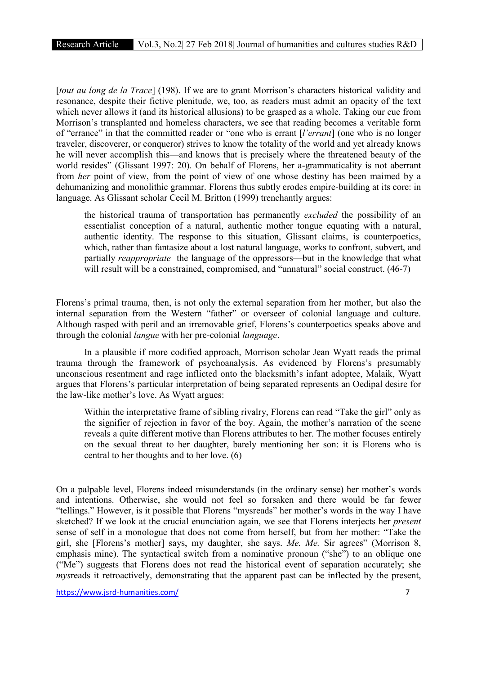[*tout au long de la Trace*] (198). If we are to grant Morrison's characters historical validity and resonance, despite their fictive plenitude, we, too, as readers must admit an opacity of the text which never allows it (and its historical allusions) to be grasped as a whole. Taking our cue from Morrison's transplanted and homeless characters, we see that reading becomes a veritable form of "errance" in that the committed reader or "one who is errant [*l'errant*] (one who is no longer traveler, discoverer, or conqueror) strives to know the totality of the world and yet already knows he will never accomplish this—and knows that is precisely where the threatened beauty of the world resides" (Glissant 1997: 20). On behalf of Florens, her a-grammaticality is not aberrant from *her* point of view, from the point of view of one whose destiny has been maimed by a dehumanizing and monolithic grammar. Florens thus subtly erodes empire-building at its core: in language. As Glissant scholar Cecil M. Britton (1999) trenchantly argues:

the historical trauma of transportation has permanently *excluded* the possibility of an essentialist conception of a natural, authentic mother tongue equating with a natural, authentic identity. The response to this situation, Glissant claims, is counterpoetics, which, rather than fantasize about a lost natural language, works to confront, subvert, and partially *reappropriate* the language of the oppressors—but in the knowledge that what will result will be a constrained, compromised, and "unnatural" social construct. (46-7)

Florens's primal trauma, then, is not only the external separation from her mother, but also the internal separation from the Western "father" or overseer of colonial language and culture. Although rasped with peril and an irremovable grief, Florens's counterpoetics speaks above and through the colonial *langue* with her pre-colonial *language*.

In a plausible if more codified approach, Morrison scholar Jean Wyatt reads the primal trauma through the framework of psychoanalysis. As evidenced by Florens's presumably unconscious resentment and rage inflicted onto the blacksmith's infant adoptee, Malaik, Wyatt argues that Florens's particular interpretation of being separated represents an Oedipal desire for the law-like mother's love. As Wyatt argues:

Within the interpretative frame of sibling rivalry, Florens can read "Take the girl" only as the signifier of rejection in favor of the boy. Again, the mother's narration of the scene reveals a quite different motive than Florens attributes to her. The mother focuses entirely on the sexual threat to her daughter, barely mentioning her son: it is Florens who is central to her thoughts and to her love. (6)

On a palpable level, Florens indeed misunderstands (in the ordinary sense) her mother's words and intentions. Otherwise, she would not feel so forsaken and there would be far fewer "tellings." However, is it possible that Florens "mysreads" her mother's words in the way I have sketched? If we look at the crucial enunciation again, we see that Florens interjects her *present* sense of self in a monologue that does not come from herself, but from her mother: "Take the girl, she [Florens's mother] says, my daughter, she says. *Me. Me.* Sir agrees" (Morrison 8, emphasis mine). The syntactical switch from a nominative pronoun ("she") to an oblique one ("Me") suggests that Florens does not read the historical event of separation accurately; she *mysreads it retroactively, demonstrating that the apparent past can be inflected by the present,*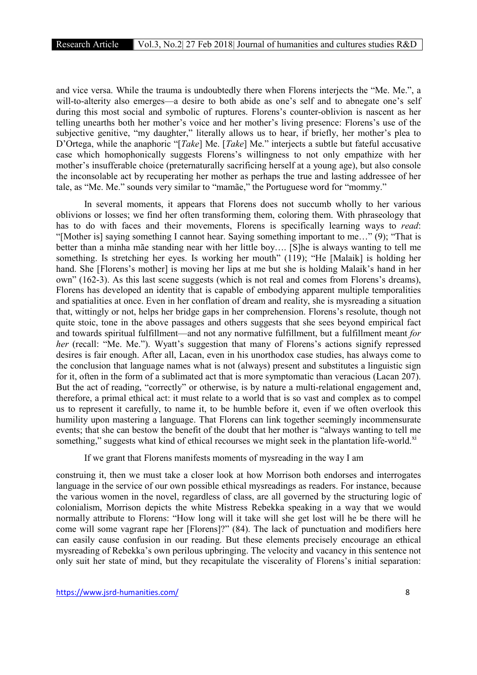and vice versa. While the trauma is undoubtedly there when Florens interjects the "Me. Me.", a will-to-alterity also emerges—a desire to both abide as one's self and to abnegate one's self during this most social and symbolic of ruptures. Florens's counter-oblivion is nascent as her telling unearths both her mother's voice and her mother's living presence: Florens's use of the subjective genitive, "my daughter," literally allows us to hear, if briefly, her mother's plea to D'Ortega, while the anaphoric "[*Take*] Me. [*Take*] Me." interjects a subtle but fateful accusative case which homophonically suggests Florens's willingness to not only empathize with her mother's insufferable choice (preternaturally sacrificing herself at a young age), but also console the inconsolable act by recuperating her mother as perhaps the true and lasting addressee of her tale, as "Me. Me." sounds very similar to "mamãe," the Portuguese word for "mommy."

In several moments, it appears that Florens does not succumb wholly to her various oblivions or losses; we find her often transforming them, coloring them. With phraseology that has to do with faces and their movements, Florens is specifically learning ways to *read*: "[Mother is] saying something I cannot hear. Saying something important to me…" (9); "That is better than a minha mãe standing near with her little boy…. [S]he is always wanting to tell me something. Is stretching her eyes. Is working her mouth" (119); "He [Malaik] is holding her hand. She [Florens's mother] is moving her lips at me but she is holding Malaik's hand in her own" (162-3). As this last scene suggests (which is not real and comes from Florens's dreams), Florens has developed an identity that is capable of embodying apparent multiple temporalities and spatialities at once. Even in her conflation of dream and reality, she is mysreading a situation that, wittingly or not, helps her bridge gaps in her comprehension. Florens's resolute, though not quite stoic, tone in the above passages and others suggests that she sees beyond empirical fact and towards spiritual fulfillment—and not any normative fulfillment, but a fulfillment meant *for her* (recall: "Me. Me."). Wyatt's suggestion that many of Florens's actions signify repressed desires is fair enough. After all, Lacan, even in his unorthodox case studies, has always come to the conclusion that language names what is not (always) present and substitutes a linguistic sign for it, often in the form of a sublimated act that is more symptomatic than veracious (Lacan 207). But the act of reading, "correctly" or otherwise, is by nature a multi-relational engagement and, therefore, a primal ethical act: it must relate to a world that is so vast and complex as to compel us to represent it carefully, to name it, to be humble before it, even if we often overlook this humility upon mastering a language. That Florens can link together seemingly incommensurate events; that she can bestow the benefit of the doubt that her mother is "always wanting to tell me something," suggests what kind of ethical recourses we might seek in the plantation life-world. $x<sup>1</sup>$ 

If we grant that Florens manifests moments of mysreading in the way I am

construing it, then we must take a closer look at how Morrison both endorses and interrogates language in the service of our own possible ethical mysreadings as readers. For instance, because the various women in the novel, regardless of class, are all governed by the structuring logic of colonialism, Morrison depicts the white Mistress Rebekka speaking in a way that we would normally attribute to Florens: "How long will it take will she get lost will he be there will he come will some vagrant rape her [Florens]?" (84). The lack of punctuation and modifiers here can easily cause confusion in our reading. But these elements precisely encourage an ethical mysreading of Rebekka's own perilous upbringing. The velocity and vacancy in this sentence not only suit her state of mind, but they recapitulate the viscerality of Florens's initial separation: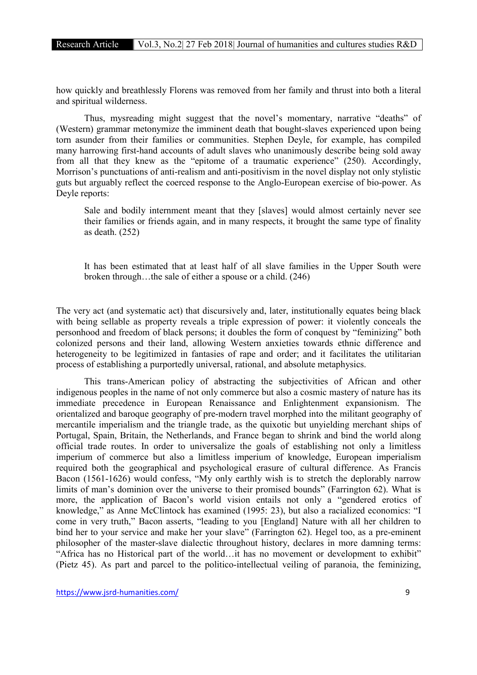how quickly and breathlessly Florens was removed from her family and thrust into both a literal and spiritual wilderness.

Thus, mysreading might suggest that the novel's momentary, narrative "deaths" of (Western) grammar metonymize the imminent death that bought-slaves experienced upon being torn asunder from their families or communities. Stephen Deyle, for example, has compiled many harrowing first-hand accounts of adult slaves who unanimously describe being sold away from all that they knew as the "epitome of a traumatic experience" (250). Accordingly, Morrison's punctuations of anti-realism and anti-positivism in the novel display not only stylistic guts but arguably reflect the coerced response to the Anglo-European exercise of bio-power. As Deyle reports:

Sale and bodily internment meant that they [slaves] would almost certainly never see their families or friends again, and in many respects, it brought the same type of finality as death. (252)

It has been estimated that at least half of all slave families in the Upper South were broken through…the sale of either a spouse or a child. (246)

The very act (and systematic act) that discursively and, later, institutionally equates being black with being sellable as property reveals a triple expression of power: it violently conceals the personhood and freedom of black persons; it doubles the form of conquest by "feminizing" both colonized persons and their land, allowing Western anxieties towards ethnic difference and heterogeneity to be legitimized in fantasies of rape and order; and it facilitates the utilitarian process of establishing a purportedly universal, rational, and absolute metaphysics.

This trans-American policy of abstracting the subjectivities of African and other indigenous peoples in the name of not only commerce but also a cosmic mastery of nature has its immediate precedence in European Renaissance and Enlightenment expansionism. The orientalized and baroque geography of pre-modern travel morphed into the militant geography of mercantile imperialism and the triangle trade, as the quixotic but unyielding merchant ships of Portugal, Spain, Britain, the Netherlands, and France began to shrink and bind the world along official trade routes. In order to universalize the goals of establishing not only a limitless imperium of commerce but also a limitless imperium of knowledge, European imperialism required both the geographical and psychological erasure of cultural difference. As Francis Bacon (1561-1626) would confess, "My only earthly wish is to stretch the deplorably narrow limits of man's dominion over the universe to their promised bounds" (Farrington 62). What is more, the application of Bacon's world vision entails not only a "gendered erotics of knowledge," as Anne McClintock has examined (1995: 23), but also a racialized economics: "I come in very truth," Bacon asserts, "leading to you [England] Nature with all her children to bind her to your service and make her your slave" (Farrington 62). Hegel too, as a pre-eminent philosopher of the master-slave dialectic throughout history, declares in more damning terms: "Africa has no Historical part of the world…it has no movement or development to exhibit" (Pietz 45). As part and parcel to the politico-intellectual veiling of paranoia, the feminizing,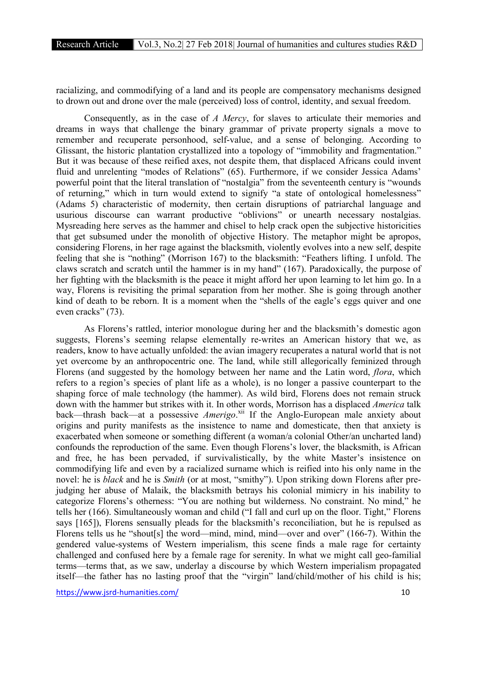racializing, and commodifying of a land and its people are compensatory mechanisms designed to drown out and drone over the male (perceived) loss of control, identity, and sexual freedom.

Consequently, as in the case of *A Mercy*, for slaves to articulate their memories and dreams in ways that challenge the binary grammar of private property signals a move to remember and recuperate personhood, self-value, and a sense of belonging. According to Glissant, the historic plantation crystallized into a topology of "immobility and fragmentation." But it was because of these reified axes, not despite them, that displaced Africans could invent fluid and unrelenting "modes of Relations" (65). Furthermore, if we consider Jessica Adams' powerful point that the literal translation of "nostalgia" from the seventeenth century is "wounds of returning," which in turn would extend to signify "a state of ontological homelessness" (Adams 5) characteristic of modernity, then certain disruptions of patriarchal language and usurious discourse can warrant productive "oblivions" or unearth necessary nostalgias. Mysreading here serves as the hammer and chisel to help crack open the subjective historicities that get subsumed under the monolith of objective History. The metaphor might be apropos, considering Florens, in her rage against the blacksmith, violently evolves into a new self, despite feeling that she is "nothing" (Morrison 167) to the blacksmith: "Feathers lifting. I unfold. The claws scratch and scratch until the hammer is in my hand" (167). Paradoxically, the purpose of her fighting with the blacksmith is the peace it might afford her upon learning to let him go. In a way, Florens is revisiting the primal separation from her mother. She is going through another kind of death to be reborn. It is a moment when the "shells of the eagle's eggs quiver and one even cracks" (73).

As Florens's rattled, interior monologue during her and the blacksmith's domestic agon suggests, Florens's seeming relapse elementally re-writes an American history that we, as readers, know to have actually unfolded: the avian imagery recuperates a natural world that is not yet overcome by an anthropocentric one. The land, while still allegorically feminized through Florens (and suggested by the homology between her name and the Latin word, *flora*, which refers to a region's species of plant life as a whole), is no longer a passive counterpart to the shaping force of male technology (the hammer). As wild bird, Florens does not remain struck down with the hammer but strikes with it. In other words, Morrison has a displaced *America* talk back—thrash back—at a possessive *Amerigo*.<sup>xii</sup> If the Anglo-European male anxiety about origins and purity manifests as the insistence to name and domesticate, then that anxiety is exacerbated when someone or something different (a woman/a colonial Other/an uncharted land) confounds the reproduction of the same. Even though Florens's lover, the blacksmith, is African and free, he has been pervaded, if survivalistically, by the white Master's insistence on commodifying life and even by a racialized surname which is reified into his only name in the novel: he is *black* and he is *Smith* (or at most, "smithy"). Upon striking down Florens after prejudging her abuse of Malaik, the blacksmith betrays his colonial mimicry in his inability to categorize Florens's otherness: "You are nothing but wilderness. No constraint. No mind," he tells her (166). Simultaneously woman and child ("I fall and curl up on the floor. Tight," Florens says [165]), Florens sensually pleads for the blacksmith's reconciliation, but he is repulsed as Florens tells us he "shout[s] the word—mind, mind, mind—over and over" (166-7). Within the gendered value-systems of Western imperialism, this scene finds a male rage for certainty challenged and confused here by a female rage for serenity. In what we might call geo-familial terms—terms that, as we saw, underlay a discourse by which Western imperialism propagated itself—the father has no lasting proof that the "virgin" land/child/mother of his child is his;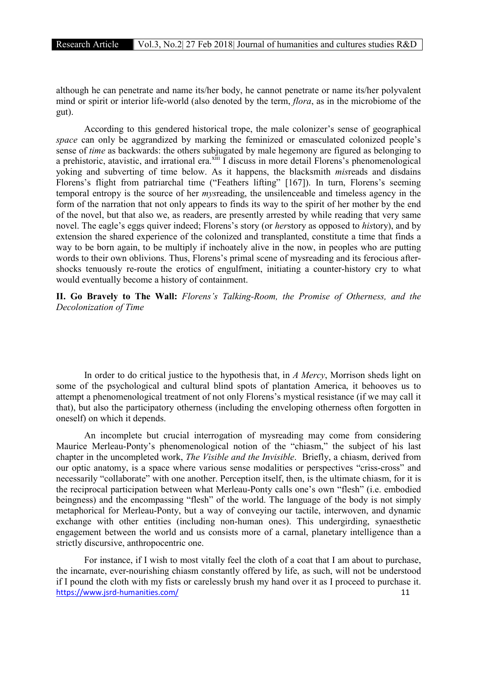although he can penetrate and name its/her body, he cannot penetrate or name its/her polyvalent mind or spirit or interior life-world (also denoted by the term, *flora*, as in the microbiome of the gut).

According to this gendered historical trope, the male colonizer's sense of geographical *space* can only be aggrandized by marking the feminized or emasculated colonized people's sense of *time* as backwards: the others subjugated by male hegemony are figured as belonging to a prehistoric, atavistic, and irrational era.<sup>xiii</sup> I discuss in more detail Florens's phenomenological yoking and subverting of time below. As it happens, the blacksmith *mis*reads and disdains Florens's flight from patriarchal time ("Feathers lifting" [167]). In turn, Florens's seeming temporal entropy is the source of her *mys*reading, the unsilenceable and timeless agency in the form of the narration that not only appears to finds its way to the spirit of her mother by the end of the novel, but that also we, as readers, are presently arrested by while reading that very same novel. The eagle's eggs quiver indeed; Florens's story (or *her*story as opposed to *his*tory), and by extension the shared experience of the colonized and transplanted, constitute a time that finds a way to be born again, to be multiply if inchoately alive in the now, in peoples who are putting words to their own oblivions. Thus, Florens's primal scene of mysreading and its ferocious aftershocks tenuously re-route the erotics of engulfment, initiating a counter-history cry to what would eventually become a history of containment.

II. Go Bravely to The Wall: *Florens's Talking-Room, the Promise of Otherness, and the Decolonization of Time*

In order to do critical justice to the hypothesis that, in *A Mercy*, Morrison sheds light on some of the psychological and cultural blind spots of plantation America, it behooves us to attempt a phenomenological treatment of not only Florens's mystical resistance (if we may call it that), but also the participatory otherness (including the enveloping otherness often forgotten in oneself) on which it depends.

An incomplete but crucial interrogation of mysreading may come from considering Maurice Merleau-Ponty's phenomenological notion of the "chiasm," the subject of his last chapter in the uncompleted work, *The Visible and the Invisible*. Briefly, a chiasm, derived from our optic anatomy, is a space where various sense modalities or perspectives "criss-cross" and necessarily "collaborate" with one another. Perception itself, then, is the ultimate chiasm, for it is the reciprocal participation between what Merleau-Ponty calls one's own "flesh" (i.e. embodied beingness) and the encompassing "flesh" of the world. The language of the body is not simply metaphorical for Merleau-Ponty, but a way of conveying our tactile, interwoven, and dynamic exchange with other entities (including non-human ones). This undergirding, synaesthetic engagement between the world and us consists more of a carnal, planetary intelligence than a strictly discursive, anthropocentric one.

https://www.jsrd-humanities.com/ 11 For instance, if I wish to most vitally feel the cloth of a coat that I am about to purchase, the incarnate, ever-nourishing chiasm constantly offered by life, as such, will not be understood if I pound the cloth with my fists or carelessly brush my hand over it as I proceed to purchase it.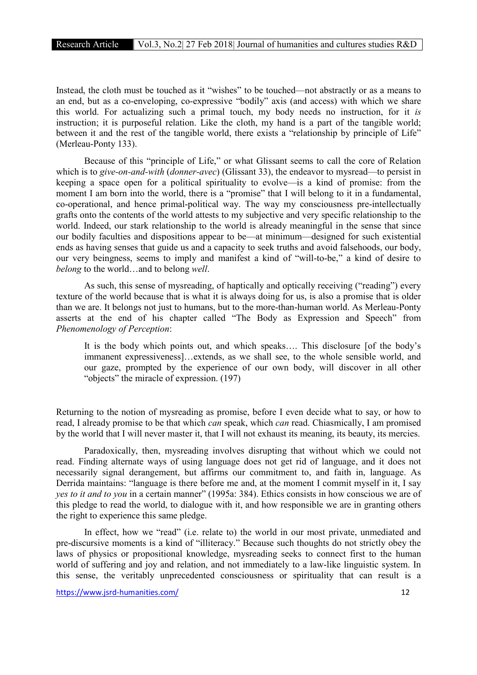Instead, the cloth must be touched as it "wishes" to be touched—not abstractly or as a means to an end, but as a co-enveloping, co-expressive "bodily" axis (and access) with which we share this world. For actualizing such a primal touch, my body needs no instruction, for it *is* instruction; it is purposeful relation. Like the cloth, my hand is a part of the tangible world; between it and the rest of the tangible world, there exists a "relationship by principle of Life" (Merleau-Ponty 133).

Because of this "principle of Life," or what Glissant seems to call the core of Relation which is to *give-on-and-with* (*donner-avec*) (Glissant 33), the endeavor to mysread—to persist in keeping a space open for a political spirituality to evolve—is a kind of promise: from the moment I am born into the world, there is a "promise" that I will belong to it in a fundamental, co-operational, and hence primal-political way. The way my consciousness pre-intellectually grafts onto the contents of the world attests to my subjective and very specific relationship to the world. Indeed, our stark relationship to the world is already meaningful in the sense that since our bodily faculties and dispositions appear to be—at minimum—designed for such existential ends as having senses that guide us and a capacity to seek truths and avoid falsehoods, our body, our very beingness, seems to imply and manifest a kind of "will-to-be," a kind of desire to *belong* to the world…and to belong *well*.

As such, this sense of mysreading, of haptically and optically receiving ("reading") every texture of the world because that is what it is always doing for us, is also a promise that is older than we are. It belongs not just to humans, but to the more-than-human world. As Merleau-Ponty asserts at the end of his chapter called "The Body as Expression and Speech" from *Phenomenology of Perception*:

It is the body which points out, and which speaks…. This disclosure [of the body's immanent expressiveness]…extends, as we shall see, to the whole sensible world, and our gaze, prompted by the experience of our own body, will discover in all other "objects" the miracle of expression. (197)

Returning to the notion of mysreading as promise, before I even decide what to say, or how to read, I already promise to be that which *can* speak, which *can* read. Chiasmically, I am promised by the world that I will never master it, that I will not exhaust its meaning, its beauty, its mercies.

Paradoxically, then, mysreading involves disrupting that without which we could not read. Finding alternate ways of using language does not get rid of language, and it does not necessarily signal derangement, but affirms our commitment to, and faith in, language. As Derrida maintains: "language is there before me and, at the moment I commit myself in it, I say *yes to it and to you* in a certain manner" (1995a: 384). Ethics consists in how conscious we are of this pledge to read the world, to dialogue with it, and how responsible we are in granting others the right to experience this same pledge.

In effect, how we "read" (i.e. relate to) the world in our most private, unmediated and pre-discursive moments is a kind of "illiteracy." Because such thoughts do not strictly obey the laws of physics or propositional knowledge, mysreading seeks to connect first to the human world of suffering and joy and relation, and not immediately to a law-like linguistic system. In this sense, the veritably unprecedented consciousness or spirituality that can result is a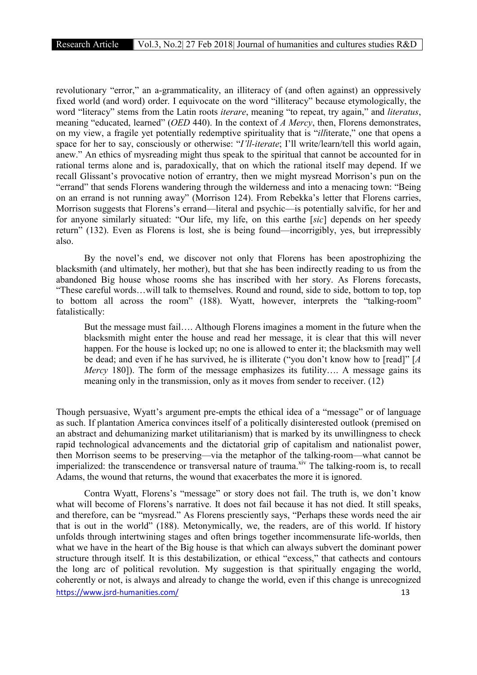revolutionary "error," an a-grammaticality, an illiteracy of (and often against) an oppressively fixed world (and word) order. I equivocate on the word "illiteracy" because etymologically, the word "literacy" stems from the Latin roots *iterare*, meaning "to repeat, try again," and *literatus*, meaning "educated, learned" (*OED* 440). In the context of *A Mercy*, then, Florens demonstrates, on my view, a fragile yet potentially redemptive spirituality that is "*ill*iterate," one that opens a space for her to say, consciously or otherwise: "*I'll-iterate*; I'll write/learn/tell this world again, anew." An ethics of mysreading might thus speak to the spiritual that cannot be accounted for in rational terms alone and is, paradoxically, that on which the rational itself may depend. If we recall Glissant's provocative notion of errantry, then we might mysread Morrison's pun on the "errand" that sends Florens wandering through the wilderness and into a menacing town: "Being on an errand is not running away" (Morrison 124). From Rebekka's letter that Florens carries, Morrison suggests that Florens's errand—literal and psychic—is potentially salvific, for her and for anyone similarly situated: "Our life, my life, on this earthe [*sic*] depends on her speedy return" (132). Even as Florens is lost, she is being found—incorrigibly, yes, but irrepressibly also.

By the novel's end, we discover not only that Florens has been apostrophizing the blacksmith (and ultimately, her mother), but that she has been indirectly reading to us from the abandoned Big house whose rooms she has inscribed with her story. As Florens forecasts, "These careful words…will talk to themselves. Round and round, side to side, bottom to top, top to bottom all across the room" (188). Wyatt, however, interprets the "talking-room" fatalistically:

But the message must fail…. Although Florens imagines a moment in the future when the blacksmith might enter the house and read her message, it is clear that this will never happen. For the house is locked up; no one is allowed to enter it; the blacksmith may well be dead; and even if he has survived, he is illiterate ("you don't know how to [read]" [*A Mercy* 180]). The form of the message emphasizes its futility…. A message gains its meaning only in the transmission, only as it moves from sender to receiver. (12)

Though persuasive, Wyatt's argument pre-empts the ethical idea of a "message" or of language as such. If plantation America convinces itself of a politically disinterested outlook (premised on an abstract and dehumanizing market utilitarianism) that is marked by its unwillingness to check rapid technological advancements and the dictatorial grip of capitalism and nationalist power, then Morrison seems to be preserving—via the metaphor of the talking-room—what cannot be imperialized: the transcendence or transversal nature of trauma.<sup>xiv</sup> The talking-room is, to recall Adams, the wound that returns, the wound that exacerbates the more it is ignored.

https://www.isrd-humanities.com/ 13 Contra Wyatt, Florens's "message" or story does not fail. The truth is, we don't know what will become of Florens's narrative. It does not fail because it has not died. It still speaks, and therefore, can be "mysread." As Florens presciently says, "Perhaps these words need the air that is out in the world" (188). Metonymically, we, the readers, are of this world. If history unfolds through intertwining stages and often brings together incommensurate life-worlds, then what we have in the heart of the Big house is that which can always subvert the dominant power structure through itself. It is this destabilization, or ethical "excess," that cathects and contours the long arc of political revolution. My suggestion is that spiritually engaging the world, coherently or not, is always and already to change the world, even if this change is unrecognized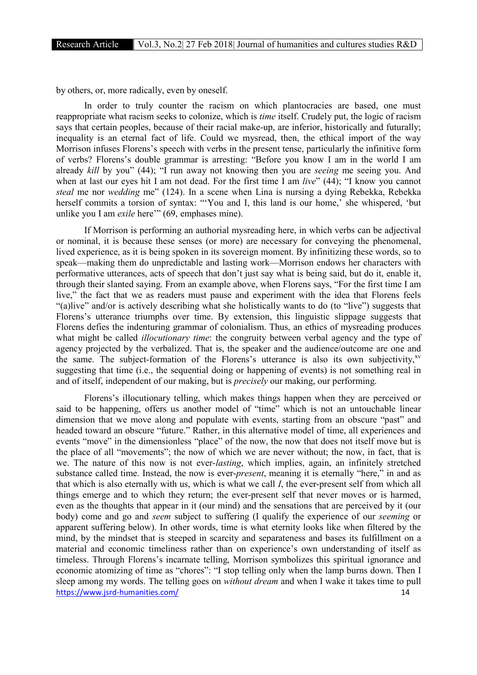by others, or, more radically, even by oneself.

In order to truly counter the racism on which plantocracies are based, one must reappropriate what racism seeks to colonize, which is *time* itself. Crudely put, the logic of racism says that certain peoples, because of their racial make-up, are inferior, historically and futurally; inequality is an eternal fact of life. Could we mysread, then, the ethical import of the way Morrison infuses Florens's speech with verbs in the present tense, particularly the infinitive form of verbs? Florens's double grammar is arresting: "Before you know I am in the world I am already *kill* by you" (44); "I run away not knowing then you are *seeing* me seeing you. And when at last our eyes hit I am not dead. For the first time I am *live*" (44); "I know you cannot *steal* me nor *wedding* me" (124). In a scene when Lina is nursing a dying Rebekka, Rebekka herself commits a torsion of syntax: "'You and I, this land is our home,' she whispered, 'but unlike you I am *exile* here'" (69, emphases mine).

If Morrison is performing an authorial mysreading here, in which verbs can be adjectival or nominal, it is because these senses (or more) are necessary for conveying the phenomenal, lived experience, as it is being spoken in its sovereign moment. By infinitizing these words, so to speak—making them do unpredictable and lasting work—Morrison endows her characters with performative utterances, acts of speech that don't just say what is being said, but do it, enable it, through their slanted saying. From an example above, when Florens says, "For the first time I am live," the fact that we as readers must pause and experiment with the idea that Florens feels "(a)live" and/or is actively describing what she holistically wants to do (to "live") suggests that Florens's utterance triumphs over time. By extension, this linguistic slippage suggests that Florens defies the indenturing grammar of colonialism. Thus, an ethics of mysreading produces what might be called *illocutionary time*: the congruity between verbal agency and the type of agency projected by the verbalized. That is, the speaker and the audience/outcome are one and the same. The subject-formation of the Florens's utterance is also its own subjectivity, $x^{\rm v}$ suggesting that time (i.e., the sequential doing or happening of events) is not something real in and of itself, independent of our making, but is *precisely* our making, our performing.

https://www.jsrd-humanities.com/ 14 Florens's illocutionary telling, which makes things happen when they are perceived or said to be happening, offers us another model of "time" which is not an untouchable linear dimension that we move along and populate with events, starting from an obscure "past" and headed toward an obscure "future." Rather, in this alternative model of time, all experiences and events "move" in the dimensionless "place" of the now, the now that does not itself move but is the place of all "movements"; the now of which we are never without; the now, in fact, that is we. The nature of this now is not ever-*lasting*, which implies, again, an infinitely stretched substance called time. Instead, the now is ever-*present*, meaning it is eternally "here," in and as that which is also eternally with us, which is what we call *I*, the ever-present self from which all things emerge and to which they return; the ever-present self that never moves or is harmed, even as the thoughts that appear in it (our mind) and the sensations that are perceived by it (our body) come and go and *seem* subject to suffering (I qualify the experience of our *seeming* or apparent suffering below). In other words, time is what eternity looks like when filtered by the mind, by the mindset that is steeped in scarcity and separateness and bases its fulfillment on a material and economic timeliness rather than on experience's own understanding of itself as timeless. Through Florens's incarnate telling, Morrison symbolizes this spiritual ignorance and economic atomizing of time as "chores": "I stop telling only when the lamp burns down. Then I sleep among my words. The telling goes on *without dream* and when I wake it takes time to pull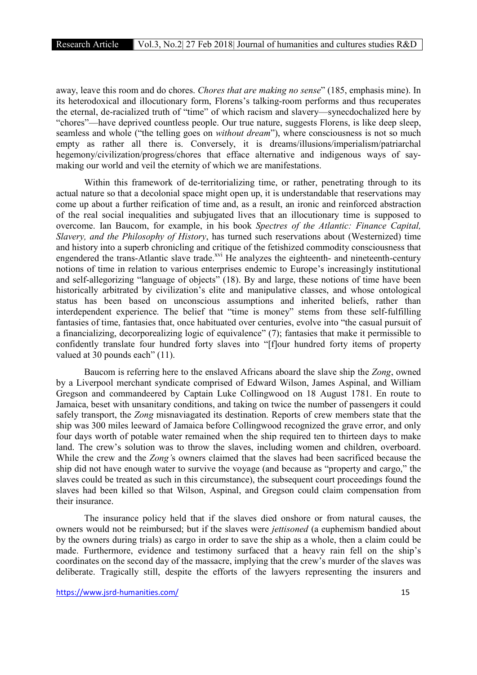away, leave this room and do chores. *Chores that are making no sense*" (185, emphasis mine). In its heterodoxical and illocutionary form, Florens's talking-room performs and thus recuperates the eternal, de-racialized truth of "time" of which racism and slavery—synecdochalized here by "chores"—have deprived countless people. Our true nature, suggests Florens, is like deep sleep, seamless and whole ("the telling goes on *without dream*"), where consciousness is not so much empty as rather all there is. Conversely, it is dreams/illusions/imperialism/patriarchal hegemony/civilization/progress/chores that efface alternative and indigenous ways of saymaking our world and veil the eternity of which we are manifestations.

Within this framework of de-territorializing time, or rather, penetrating through to its actual nature so that a decolonial space might open up, it is understandable that reservations may come up about a further reification of time and, as a result, an ironic and reinforced abstraction of the real social inequalities and subjugated lives that an illocutionary time is supposed to overcome. Ian Baucom, for example, in his book *Spectres of the Atlantic: Finance Capital, Slavery, and the Philosophy of History*, has turned such reservations about (Westernized) time and history into a superb chronicling and critique of the fetishized commodity consciousness that engendered the trans-Atlantic slave trade.<sup>xvi</sup> He analyzes the eighteenth- and nineteenth-century notions of time in relation to various enterprises endemic to Europe's increasingly institutional and self-allegorizing "language of objects" (18). By and large, these notions of time have been historically arbitrated by civilization's elite and manipulative classes, and whose ontological status has been based on unconscious assumptions and inherited beliefs, rather than interdependent experience. The belief that "time is money" stems from these self-fulfilling fantasies of time, fantasies that, once habituated over centuries, evolve into "the casual pursuit of a financializing, decorporealizing logic of equivalence" (7); fantasies that make it permissible to confidently translate four hundred forty slaves into "[f]our hundred forty items of property valued at 30 pounds each" (11).

Baucom is referring here to the enslaved Africans aboard the slave ship the *Zong*, owned by a Liverpool merchant syndicate comprised of Edward Wilson, James Aspinal, and William Gregson and commandeered by Captain Luke Collingwood on 18 August 1781. En route to Jamaica, beset with unsanitary conditions, and taking on twice the number of passengers it could safely transport, the *Zong* misnaviagated its destination. Reports of crew members state that the ship was 300 miles leeward of Jamaica before Collingwood recognized the grave error, and only four days worth of potable water remained when the ship required ten to thirteen days to make land. The crew's solution was to throw the slaves, including women and children, overboard. While the crew and the *Zong'*s owners claimed that the slaves had been sacrificed because the ship did not have enough water to survive the voyage (and because as "property and cargo," the slaves could be treated as such in this circumstance), the subsequent court proceedings found the slaves had been killed so that Wilson, Aspinal, and Gregson could claim compensation from their insurance.

The insurance policy held that if the slaves died onshore or from natural causes, the owners would not be reimbursed; but if the slaves were *jettisoned* (a euphemism bandied about by the owners during trials) as cargo in order to save the ship as a whole, then a claim could be made. Furthermore, evidence and testimony surfaced that a heavy rain fell on the ship's coordinates on the second day of the massacre, implying that the crew's murder of the slaves was deliberate. Tragically still, despite the efforts of the lawyers representing the insurers and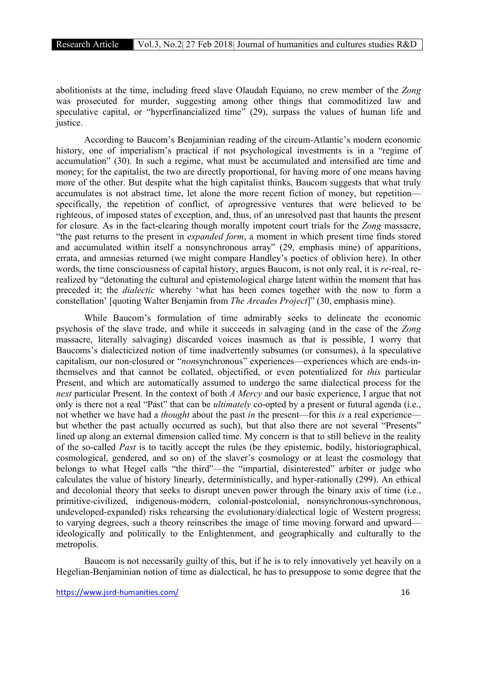abolitionists at the time, including freed slave Olaudah Equiano, no crew member of the *Zong* was prosecuted for murder, suggesting among other things that commoditized law and speculative capital, or "hyperfinancialized time" (29), surpass the values of human life and justice.

According to Baucom's Benjaminian reading of the circum-Atlantic's modern economic history, one of imperialism's practical if not psychological investments is in a "regime of accumulation" (30). In such a regime, what must be accumulated and intensified are time and money; for the capitalist, the two are directly proportional, for having more of one means having more of the other. But despite what the high capitalist thinks, Baucom suggests that what truly accumulates is not abstract time, let alone the more recent fiction of money, but repetition specifically, the repetition of conflict, of *a*progressive ventures that were believed to be righteous, of imposed states of exception, and, thus, of an unresolved past that haunts the present for closure. As in the fact-clearing though morally impotent court trials for the *Zong* massacre, "the past returns to the present in *expanded form*, a moment in which present time finds stored and accumulated within itself a nonsynchronous array" (29, emphasis mine) of apparitions, errata, and amnesias returned (we might compare Handley's poetics of oblivion here). In other words, the time consciousness of capital history, argues Baucom, is not only real, it is *re*-real, rerealized by "detonating the cultural and epistemological charge latent within the moment that has preceded it; the *dialectic* whereby 'what has been comes together with the now to form a constellation' [quoting Walter Benjamin from *The Arcades Project*]" (30, emphasis mine).

While Baucom's formulation of time admirably seeks to delineate the economic psychosis of the slave trade, and while it succeeds in salvaging (and in the case of the *Zong*  massacre, literally salvaging) discarded voices inasmuch as that is possible, I worry that Baucoms's dialecticized notion of time inadvertently subsumes (or consumes), à la speculative capitalism, our non-closured or "*non*synchronous" experiences—experiences which are ends-inthemselves and that cannot be collated, objectified, or even potentialized for *this* particular Present, and which are automatically assumed to undergo the same dialectical process for the *next* particular Present. In the context of both *A Mercy* and our basic experience, I argue that not only is there not a real "Past" that can be *ultimately* co-opted by a present or futural agenda (i.e., not whether we have had a *thought* about the past *in* the present—for this *is* a real experience but whether the past actually occurred as such), but that also there are not several "Presents" lined up along an external dimension called time. My concern is that to still believe in the reality of the so-called *Past* is to tacitly accept the rules (be they epistemic, bodily, historiographical, cosmological, gendered, and so on) of the slaver's cosmology or at least the cosmology that belongs to what Hegel calls "the third"—the "impartial, disinterested" arbiter or judge who calculates the value of history linearly, deterministically, and hyper-rationally (299). An ethical and decolonial theory that seeks to disrupt uneven power through the binary axis of time (i.e., primitive-civilized, indigenous-modern, colonial-postcolonial, nonsynchronous-synchronous, undeveloped-expanded) risks rehearsing the evolutionary/dialectical logic of Western progress; to varying degrees, such a theory reinscribes the image of time moving forward and upward ideologically and politically to the Enlightenment, and geographically and culturally to the metropolis.

Baucom is not necessarily guilty of this, but if he is to rely innovatively yet heavily on a Hegelian-Benjaminian notion of time as dialectical, he has to presuppose to some degree that the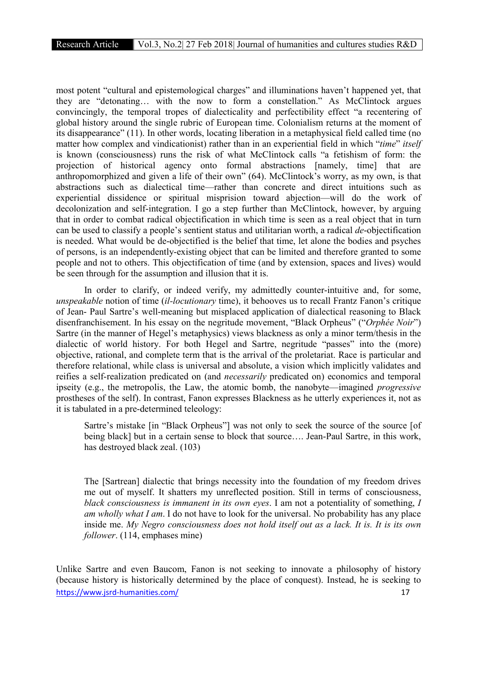most potent "cultural and epistemological charges" and illuminations haven't happened yet, that they are "detonating… with the now to form a constellation." As McClintock argues convincingly, the temporal tropes of dialecticality and perfectibility effect "a recentering of global history around the single rubric of European time. Colonialism returns at the moment of its disappearance" (11). In other words, locating liberation in a metaphysical field called time (no matter how complex and vindicationist) rather than in an experiential field in which "*time*" *itself* is known (consciousness) runs the risk of what McClintock calls "a fetishism of form: the projection of historical agency onto formal abstractions [namely, time] that are anthropomorphized and given a life of their own" (64). McClintock's worry, as my own, is that abstractions such as dialectical time—rather than concrete and direct intuitions such as experiential dissidence or spiritual misprision toward abjection—will do the work of decolonization and self-integration. I go a step further than McClintock, however, by arguing that in order to combat radical objectification in which time is seen as a real object that in turn can be used to classify a people's sentient status and utilitarian worth, a radical *de*-objectification is needed. What would be de-objectified is the belief that time, let alone the bodies and psyches of persons, is an independently-existing object that can be limited and therefore granted to some people and not to others. This objectification of time (and by extension, spaces and lives) would be seen through for the assumption and illusion that it is.

In order to clarify, or indeed verify, my admittedly counter-intuitive and, for some, *unspeakable* notion of time (*il-locutionary* time), it behooves us to recall Frantz Fanon's critique of Jean- Paul Sartre's well-meaning but misplaced application of dialectical reasoning to Black disenfranchisement. In his essay on the negritude movement, "Black Orpheus" ("*Orphée Noir*") Sartre (in the manner of Hegel's metaphysics) views blackness as only a minor term/thesis in the dialectic of world history. For both Hegel and Sartre, negritude "passes" into the (more) objective, rational, and complete term that is the arrival of the proletariat. Race is particular and therefore relational, while class is universal and absolute, a vision which implicitly validates and reifies a self-realization predicated on (and *necessarily* predicated on) economics and temporal ipseity (e.g., the metropolis, the Law, the atomic bomb, the nanobyte—imagined *progressive* prostheses of the self). In contrast, Fanon expresses Blackness as he utterly experiences it, not as it is tabulated in a pre-determined teleology:

Sartre's mistake [in "Black Orpheus"] was not only to seek the source of the source [of being black] but in a certain sense to block that source.... Jean-Paul Sartre, in this work, has destroyed black zeal. (103)

The [Sartrean] dialectic that brings necessity into the foundation of my freedom drives me out of myself. It shatters my unreflected position. Still in terms of consciousness, *black consciousness is immanent in its own eyes*. I am not a potentiality of something, *I am wholly what I am*. I do not have to look for the universal. No probability has any place inside me. *My Negro consciousness does not hold itself out as a lack. It is. It is its own follower*. (114, emphases mine)

https://www.jsrd-humanities.com/ 17 Unlike Sartre and even Baucom, Fanon is not seeking to innovate a philosophy of history (because history is historically determined by the place of conquest). Instead, he is seeking to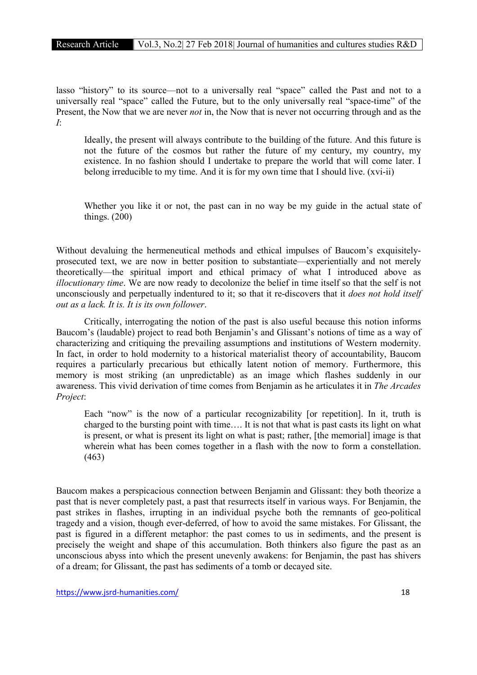lasso "history" to its source—not to a universally real "space" called the Past and not to a universally real "space" called the Future, but to the only universally real "space-time" of the Present, the Now that we are never *not* in, the Now that is never not occurring through and as the *I*:

Ideally, the present will always contribute to the building of the future. And this future is not the future of the cosmos but rather the future of my century, my country, my existence. In no fashion should I undertake to prepare the world that will come later. I belong irreducible to my time. And it is for my own time that I should live. (xvi-ii)

Whether you like it or not, the past can in no way be my guide in the actual state of things. (200)

Without devaluing the hermeneutical methods and ethical impulses of Baucom's exquisitelyprosecuted text, we are now in better position to substantiate—experientially and not merely theoretically—the spiritual import and ethical primacy of what I introduced above as *illocutionary time*. We are now ready to decolonize the belief in time itself so that the self is not unconsciously and perpetually indentured to it; so that it re-discovers that it *does not hold itself out as a lack. It is. It is its own follower*.

Critically, interrogating the notion of the past is also useful because this notion informs Baucom's (laudable) project to read both Benjamin's and Glissant's notions of time as a way of characterizing and critiquing the prevailing assumptions and institutions of Western modernity. In fact, in order to hold modernity to a historical materialist theory of accountability, Baucom requires a particularly precarious but ethically latent notion of memory. Furthermore, this memory is most striking (an unpredictable) as an image which flashes suddenly in our awareness. This vivid derivation of time comes from Benjamin as he articulates it in *The Arcades Project*:

Each "now" is the now of a particular recognizability [or repetition]. In it, truth is charged to the bursting point with time…. It is not that what is past casts its light on what is present, or what is present its light on what is past; rather, [the memorial] image is that wherein what has been comes together in a flash with the now to form a constellation. (463)

Baucom makes a perspicacious connection between Benjamin and Glissant: they both theorize a past that is never completely past, a past that resurrects itself in various ways. For Benjamin, the past strikes in flashes, irrupting in an individual psyche both the remnants of geo-political tragedy and a vision, though ever-deferred, of how to avoid the same mistakes. For Glissant, the past is figured in a different metaphor: the past comes to us in sediments, and the present is precisely the weight and shape of this accumulation. Both thinkers also figure the past as an unconscious abyss into which the present unevenly awakens: for Benjamin, the past has shivers of a dream; for Glissant, the past has sediments of a tomb or decayed site.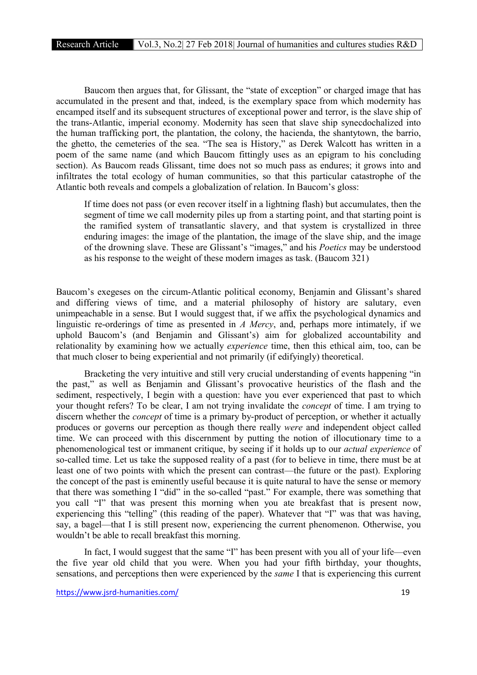Baucom then argues that, for Glissant, the "state of exception" or charged image that has accumulated in the present and that, indeed, is the exemplary space from which modernity has encamped itself and its subsequent structures of exceptional power and terror, is the slave ship of the trans-Atlantic, imperial economy. Modernity has seen that slave ship synecdochalized into the human trafficking port, the plantation, the colony, the hacienda, the shantytown, the barrio, the ghetto, the cemeteries of the sea. "The sea is History," as Derek Walcott has written in a poem of the same name (and which Baucom fittingly uses as an epigram to his concluding section). As Baucom reads Glissant, time does not so much pass as endures; it grows into and infiltrates the total ecology of human communities, so that this particular catastrophe of the Atlantic both reveals and compels a globalization of relation. In Baucom's gloss:

If time does not pass (or even recover itself in a lightning flash) but accumulates, then the segment of time we call modernity piles up from a starting point, and that starting point is the ramified system of transatlantic slavery, and that system is crystallized in three enduring images: the image of the plantation, the image of the slave ship, and the image of the drowning slave. These are Glissant's "images," and his *Poetics* may be understood as his response to the weight of these modern images as task. (Baucom 321)

Baucom's exegeses on the circum-Atlantic political economy, Benjamin and Glissant's shared and differing views of time, and a material philosophy of history are salutary, even unimpeachable in a sense. But I would suggest that, if we affix the psychological dynamics and linguistic re-orderings of time as presented in *A Mercy*, and, perhaps more intimately, if we uphold Baucom's (and Benjamin and Glissant's) aim for globalized accountability and relationality by examining how we actually *experience* time, then this ethical aim, too, can be that much closer to being experiential and not primarily (if edifyingly) theoretical.

Bracketing the very intuitive and still very crucial understanding of events happening "in the past," as well as Benjamin and Glissant's provocative heuristics of the flash and the sediment, respectively, I begin with a question: have you ever experienced that past to which your thought refers? To be clear, I am not trying invalidate the *concept* of time. I am trying to discern whether the *concept* of time is a primary by-product of perception, or whether it actually produces or governs our perception as though there really *were* and independent object called time. We can proceed with this discernment by putting the notion of illocutionary time to a phenomenological test or immanent critique, by seeing if it holds up to our *actual experience* of so-called time. Let us take the supposed reality of a past (for to believe in time, there must be at least one of two points with which the present can contrast—the future or the past). Exploring the concept of the past is eminently useful because it is quite natural to have the sense or memory that there was something I "did" in the so-called "past." For example, there was something that you call "I" that was present this morning when you ate breakfast that is present now, experiencing this "telling" (this reading of the paper). Whatever that "I" was that was having, say, a bagel—that I is still present now, experiencing the current phenomenon. Otherwise, you wouldn't be able to recall breakfast this morning.

In fact, I would suggest that the same "I" has been present with you all of your life—even the five year old child that you were. When you had your fifth birthday, your thoughts, sensations, and perceptions then were experienced by the *same* I that is experiencing this current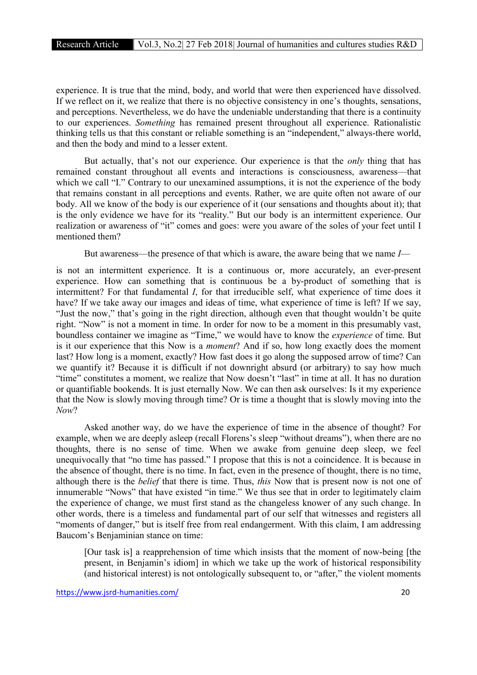experience. It is true that the mind, body, and world that were then experienced have dissolved. If we reflect on it, we realize that there is no objective consistency in one's thoughts, sensations, and perceptions. Nevertheless, we do have the undeniable understanding that there is a continuity to our experiences. *Something* has remained present throughout all experience. Rationalistic thinking tells us that this constant or reliable something is an "independent," always-there world, and then the body and mind to a lesser extent.

But actually, that's not our experience. Our experience is that the *only* thing that has remained constant throughout all events and interactions is consciousness, awareness—that which we call "I." Contrary to our unexamined assumptions, it is not the experience of the body that remains constant in all perceptions and events. Rather, we are quite often not aware of our body. All we know of the body is our experience of it (our sensations and thoughts about it); that is the only evidence we have for its "reality." But our body is an intermittent experience. Our realization or awareness of "it" comes and goes: were you aware of the soles of your feet until I mentioned them?

But awareness—the presence of that which is aware, the aware being that we name *I*—

is not an intermittent experience. It is a continuous or, more accurately, an ever-present experience. How can something that is continuous be a by-product of something that is intermittent? For that fundamental *I*, for that irreducible self, what experience of time does it have? If we take away our images and ideas of time, what experience of time is left? If we say, "Just the now," that's going in the right direction, although even that thought wouldn't be quite right. "Now" is not a moment in time. In order for now to be a moment in this presumably vast, boundless container we imagine as "Time," we would have to know the *experience* of time. But is it our experience that this Now is a *moment*? And if so, how long exactly does the moment last? How long is a moment, exactly? How fast does it go along the supposed arrow of time? Can we quantify it? Because it is difficult if not downright absurd (or arbitrary) to say how much "time" constitutes a moment, we realize that Now doesn't "last" in time at all. It has no duration or quantifiable bookends. It is just eternally Now. We can then ask ourselves: Is it my experience that the Now is slowly moving through time? Or is time a thought that is slowly moving into the *Now*?

Asked another way, do we have the experience of time in the absence of thought? For example, when we are deeply asleep (recall Florens's sleep "without dreams"), when there are no thoughts, there is no sense of time. When we awake from genuine deep sleep, we feel unequivocally that "no time has passed." I propose that this is not a coincidence. It is because in the absence of thought, there is no time. In fact, even in the presence of thought, there is no time, although there is the *belief* that there is time. Thus, *this* Now that is present now is not one of innumerable "Nows" that have existed "in time." We thus see that in order to legitimately claim the experience of change, we must first stand as the changeless knower of any such change. In other words, there is a timeless and fundamental part of our self that witnesses and registers all "moments of danger," but is itself free from real endangerment. With this claim, I am addressing Baucom's Benjaminian stance on time:

[Our task is] a reapprehension of time which insists that the moment of now-being [the present, in Benjamin's idiom] in which we take up the work of historical responsibility (and historical interest) is not ontologically subsequent to, or "after," the violent moments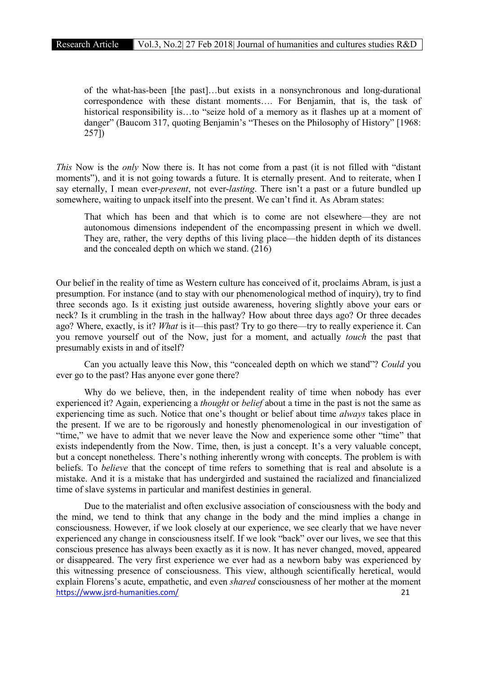of the what-has-been [the past]…but exists in a nonsynchronous and long-durational correspondence with these distant moments…. For Benjamin, that is, the task of historical responsibility is...to "seize hold of a memory as it flashes up at a moment of danger" (Baucom 317, quoting Benjamin's "Theses on the Philosophy of History" [1968: 257])

*This* Now is the *only* Now there is. It has not come from a past (it is not filled with "distant moments"), and it is not going towards a future. It is eternally present. And to reiterate, when I say eternally, I mean ever-*present*, not ever-*lasting*. There isn't a past or a future bundled up somewhere, waiting to unpack itself into the present. We can't find it. As Abram states:

That which has been and that which is to come are not elsewhere—they are not autonomous dimensions independent of the encompassing present in which we dwell. They are, rather, the very depths of this living place—the hidden depth of its distances and the concealed depth on which we stand. (216)

Our belief in the reality of time as Western culture has conceived of it, proclaims Abram, is just a presumption. For instance (and to stay with our phenomenological method of inquiry), try to find three seconds ago. Is it existing just outside awareness, hovering slightly above your ears or neck? Is it crumbling in the trash in the hallway? How about three days ago? Or three decades ago? Where, exactly, is it? *What* is it—this past? Try to go there—try to really experience it. Can you remove yourself out of the Now, just for a moment, and actually *touch* the past that presumably exists in and of itself?

Can you actually leave this Now, this "concealed depth on which we stand"? *Could* you ever go to the past? Has anyone ever gone there?

Why do we believe, then, in the independent reality of time when nobody has ever experienced it? Again, experiencing a *thought* or *belief* about a time in the past is not the same as experiencing time as such. Notice that one's thought or belief about time *always* takes place in the present. If we are to be rigorously and honestly phenomenological in our investigation of "time," we have to admit that we never leave the Now and experience some other "time" that exists independently from the Now. Time, then, is just a concept. It's a very valuable concept, but a concept nonetheless. There's nothing inherently wrong with concepts. The problem is with beliefs. To *believe* that the concept of time refers to something that is real and absolute is a mistake. And it is a mistake that has undergirded and sustained the racialized and financialized time of slave systems in particular and manifest destinies in general.

https://www.jsrd-humanities.com/ 21 Due to the materialist and often exclusive association of consciousness with the body and the mind, we tend to think that any change in the body and the mind implies a change in consciousness. However, if we look closely at our experience, we see clearly that we have never experienced any change in consciousness itself. If we look "back" over our lives, we see that this conscious presence has always been exactly as it is now. It has never changed, moved, appeared or disappeared. The very first experience we ever had as a newborn baby was experienced by this witnessing presence of consciousness. This view, although scientifically heretical, would explain Florens's acute, empathetic, and even *shared* consciousness of her mother at the moment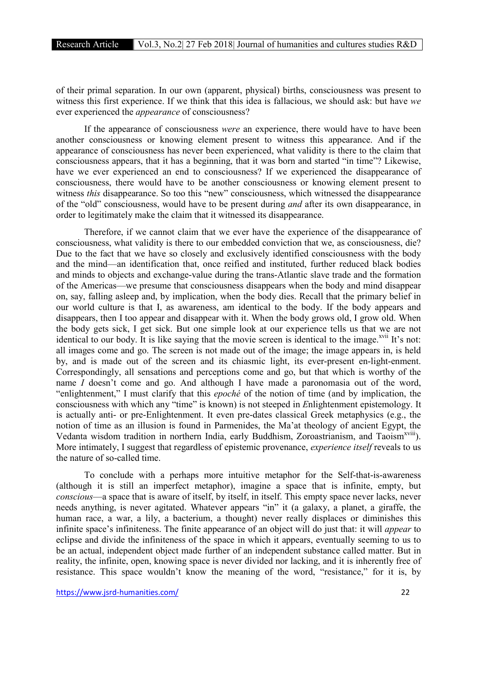of their primal separation. In our own (apparent, physical) births, consciousness was present to witness this first experience. If we think that this idea is fallacious, we should ask: but have *we* ever experienced the *appearance* of consciousness?

If the appearance of consciousness *were* an experience, there would have to have been another consciousness or knowing element present to witness this appearance. And if the appearance of consciousness has never been experienced, what validity is there to the claim that consciousness appears, that it has a beginning, that it was born and started "in time"? Likewise, have we ever experienced an end to consciousness? If we experienced the disappearance of consciousness, there would have to be another consciousness or knowing element present to witness *this* disappearance. So too this "new" consciousness, which witnessed the disappearance of the "old" consciousness, would have to be present during *and* after its own disappearance, in order to legitimately make the claim that it witnessed its disappearance.

Therefore, if we cannot claim that we ever have the experience of the disappearance of consciousness, what validity is there to our embedded conviction that we, as consciousness, die? Due to the fact that we have so closely and exclusively identified consciousness with the body and the mind—an identification that, once reified and instituted, further reduced black bodies and minds to objects and exchange-value during the trans-Atlantic slave trade and the formation of the Americas—we presume that consciousness disappears when the body and mind disappear on, say, falling asleep and, by implication, when the body dies. Recall that the primary belief in our world culture is that I, as awareness, am identical to the body. If the body appears and disappears, then I too appear and disappear with it. When the body grows old, I grow old. When the body gets sick, I get sick. But one simple look at our experience tells us that we are not identical to our body. It is like saying that the movie screen is identical to the image.<sup>xvii</sup> It's not: all images come and go. The screen is not made out of the image; the image appears in, is held by, and is made out of the screen and its chiasmic light, its ever-present en-light-enment. Correspondingly, all sensations and perceptions come and go, but that which is worthy of the name *I* doesn't come and go. And although I have made a paronomasia out of the word, "enlightenment," I must clarify that this *epoché* of the notion of time (and by implication, the consciousness with which any "time" is known) is not steeped in *E*nlightenment epistemology. It is actually anti- or pre-Enlightenment. It even pre-dates classical Greek metaphysics (e.g., the notion of time as an illusion is found in Parmenides, the Ma'at theology of ancient Egypt, the Vedanta wisdom tradition in northern India, early Buddhism, Zoroastrianism, and Taoism<sup>xviii</sup>). More intimately, I suggest that regardless of epistemic provenance, *experience itself* reveals to us the nature of so-called time.

To conclude with a perhaps more intuitive metaphor for the Self-that-is-awareness (although it is still an imperfect metaphor), imagine a space that is infinite, empty, but *conscious*—a space that is aware of itself, by itself, in itself. This empty space never lacks, never needs anything, is never agitated. Whatever appears "in" it (a galaxy, a planet, a giraffe, the human race, a war, a lily, a bacterium, a thought) never really displaces or diminishes this infinite space's infiniteness. The finite appearance of an object will do just that: it will *appear* to eclipse and divide the infiniteness of the space in which it appears, eventually seeming to us to be an actual, independent object made further of an independent substance called matter. But in reality, the infinite, open, knowing space is never divided nor lacking, and it is inherently free of resistance. This space wouldn't know the meaning of the word, "resistance," for it is, by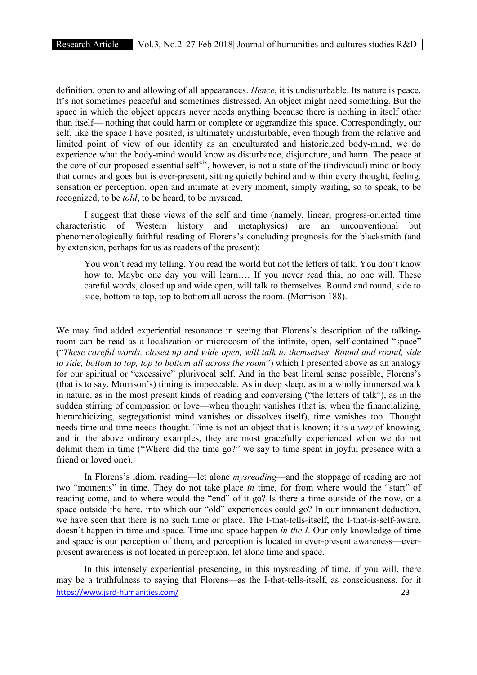definition, open to and allowing of all appearances. *Hence*, it is undisturbable. Its nature is peace. It's not sometimes peaceful and sometimes distressed. An object might need something. But the space in which the object appears never needs anything because there is nothing in itself other than itself— nothing that could harm or complete or aggrandize this space. Correspondingly, our self, like the space I have posited, is ultimately undisturbable, even though from the relative and limited point of view of our identity as an enculturated and historicized body-mind, we do experience what the body-mind would know as disturbance, disjuncture, and harm. The peace at the core of our proposed essential self<sup>xix</sup>, however, is not a state of the (individual) mind or body that comes and goes but is ever-present, sitting quietly behind and within every thought, feeling, sensation or perception, open and intimate at every moment, simply waiting, so to speak, to be recognized, to be *told*, to be heard, to be mysread.

I suggest that these views of the self and time (namely, linear, progress-oriented time characteristic of Western history and metaphysics) are an unconventional but phenomenologically faithful reading of Florens's concluding prognosis for the blacksmith (and by extension, perhaps for us as readers of the present):

You won't read my telling. You read the world but not the letters of talk. You don't know how to. Maybe one day you will learn…. If you never read this, no one will. These careful words, closed up and wide open, will talk to themselves. Round and round, side to side, bottom to top, top to bottom all across the room. (Morrison 188).

We may find added experiential resonance in seeing that Florens's description of the talkingroom can be read as a localization or microcosm of the infinite, open, self-contained "space" ("*These careful words, closed up and wide open, will talk to themselves. Round and round, side to side, bottom to top, top to bottom all across the room*") which I presented above as an analogy for our spiritual or "excessive" plurivocal self. And in the best literal sense possible, Florens's (that is to say, Morrison's) timing is impeccable. As in deep sleep, as in a wholly immersed walk in nature, as in the most present kinds of reading and conversing ("the letters of talk"), as in the sudden stirring of compassion or love—when thought vanishes (that is, when the financializing, hierarchicizing, segregationist mind vanishes or dissolves itself), time vanishes too. Thought needs time and time needs thought. Time is not an object that is known; it is a *way* of knowing, and in the above ordinary examples, they are most gracefully experienced when we do not delimit them in time ("Where did the time go?" we say to time spent in joyful presence with a friend or loved one).

In Florens's idiom, reading—let alone *mysreading*—and the stoppage of reading are not two "moments" in time. They do not take place *in* time, for from where would the "start" of reading come, and to where would the "end" of it go? Is there a time outside of the now, or a space outside the here, into which our "old" experiences could go? In our immanent deduction, we have seen that there is no such time or place. The I-that-tells-itself, the I-that-is-self-aware, doesn't happen in time and space. Time and space happen *in the I*. Our only knowledge of time and space is our perception of them, and perception is located in ever-present awareness—everpresent awareness is not located in perception, let alone time and space.

https://www.jsrd-humanities.com/ 23 In this intensely experiential presencing, in this mysreading of time, if you will, there may be a truthfulness to saying that Florens—as the I-that-tells-itself, as consciousness, for it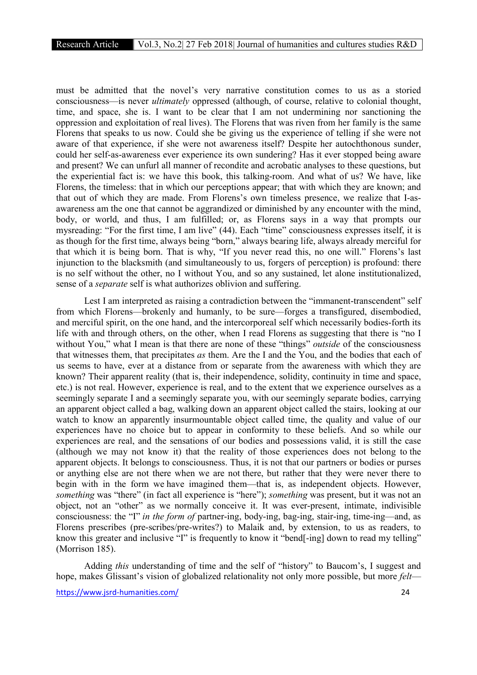must be admitted that the novel's very narrative constitution comes to us as a storied consciousness—is never *ultimately* oppressed (although, of course, relative to colonial thought, time, and space, she is. I want to be clear that I am not undermining nor sanctioning the oppression and exploitation of real lives). The Florens that was riven from her family is the same Florens that speaks to us now. Could she be giving us the experience of telling if she were not aware of that experience, if she were not awareness itself? Despite her autochthonous sunder, could her self-as-awareness ever experience its own sundering? Has it ever stopped being aware and present? We can unfurl all manner of recondite and acrobatic analyses to these questions, but the experiential fact is: we have this book, this talking-room. And what of us? We have, like Florens, the timeless: that in which our perceptions appear; that with which they are known; and that out of which they are made. From Florens's own timeless presence, we realize that I-asawareness am the one that cannot be aggrandized or diminished by any encounter with the mind, body, or world, and thus, I am fulfilled; or, as Florens says in a way that prompts our mysreading: "For the first time, I am live" (44). Each "time" consciousness expresses itself, it is as though for the first time, always being "born," always bearing life, always already merciful for that which it is being born. That is why, "If you never read this, no one will." Florens's last injunction to the blacksmith (and simultaneously to us, forgers of perception) is profound: there is no self without the other, no I without You, and so any sustained, let alone institutionalized, sense of a *separate* self is what authorizes oblivion and suffering.

Lest I am interpreted as raising a contradiction between the "immanent-transcendent" self from which Florens—brokenly and humanly, to be sure—forges a transfigured, disembodied, and merciful spirit, on the one hand, and the intercorporeal self which necessarily bodies-forth its life with and through others, on the other, when I read Florens as suggesting that there is "no I without You," what I mean is that there are none of these "things" *outside* of the consciousness that witnesses them, that precipitates *as* them. Are the I and the You, and the bodies that each of us seems to have, ever at a distance from or separate from the awareness with which they are known? Their apparent reality (that is, their independence, solidity, continuity in time and space, etc.) is not real. However, experience is real, and to the extent that we experience ourselves as a seemingly separate I and a seemingly separate you, with our seemingly separate bodies, carrying an apparent object called a bag, walking down an apparent object called the stairs, looking at our watch to know an apparently insurmountable object called time, the quality and value of our experiences have no choice but to appear in conformity to these beliefs. And so while our experiences are real, and the sensations of our bodies and possessions valid, it is still the case (although we may not know it) that the reality of those experiences does not belong to the apparent objects. It belongs to consciousness. Thus, it is not that our partners or bodies or purses or anything else are not there when we are not there, but rather that they were never there to begin with in the form we have imagined them—that is, as independent objects. However, *something* was "there" (in fact all experience is "here"); *something* was present, but it was not an object, not an "other" as we normally conceive it. It was ever-present, intimate, indivisible consciousness: the "I" *in the form of* partner-ing, body-ing, bag-ing, stair-ing, time-ing—and, as Florens prescribes (pre-scribes/pre-writes?) to Malaik and, by extension, to us as readers, to know this greater and inclusive "I" is frequently to know it "bend[-ing] down to read my telling" (Morrison 185).

Adding *this* understanding of time and the self of "history" to Baucom's, I suggest and hope, makes Glissant's vision of globalized relationality not only more possible, but more *felt*—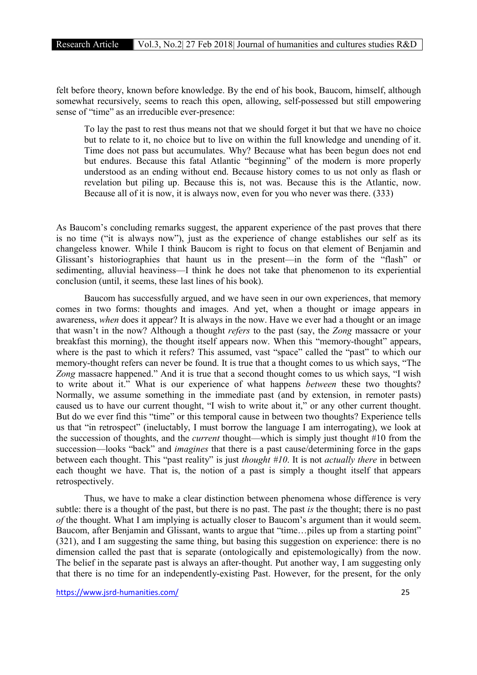felt before theory, known before knowledge. By the end of his book, Baucom, himself, although somewhat recursively, seems to reach this open, allowing, self-possessed but still empowering sense of "time" as an irreducible ever-presence:

To lay the past to rest thus means not that we should forget it but that we have no choice but to relate to it, no choice but to live on within the full knowledge and unending of it. Time does not pass but accumulates. Why? Because what has been begun does not end but endures. Because this fatal Atlantic "beginning" of the modern is more properly understood as an ending without end. Because history comes to us not only as flash or revelation but piling up. Because this is, not was. Because this is the Atlantic, now. Because all of it is now, it is always now, even for you who never was there. (333)

As Baucom's concluding remarks suggest, the apparent experience of the past proves that there is no time ("it is always now"), just as the experience of change establishes our self as its changeless knower. While I think Baucom is right to focus on that element of Benjamin and Glissant's historiographies that haunt us in the present—in the form of the "flash" or sedimenting, alluvial heaviness—I think he does not take that phenomenon to its experiential conclusion (until, it seems, these last lines of his book).

Baucom has successfully argued, and we have seen in our own experiences, that memory comes in two forms: thoughts and images. And yet, when a thought or image appears in awareness, *when* does it appear? It is always in the now. Have we ever had a thought or an image that wasn't in the now? Although a thought *refers* to the past (say, the *Zong* massacre or your breakfast this morning), the thought itself appears now. When this "memory-thought" appears, where is the past to which it refers? This assumed, vast "space" called the "past" to which our memory-thought refers can never be found. It is true that a thought comes to us which says, "The *Zong* massacre happened." And it is true that a second thought comes to us which says, "I wish to write about it." What is our experience of what happens *between* these two thoughts? Normally, we assume something in the immediate past (and by extension, in remoter pasts) caused us to have our current thought, "I wish to write about it," or any other current thought. But do we ever find this "time" or this temporal cause in between two thoughts? Experience tells us that "in retrospect" (ineluctably, I must borrow the language I am interrogating), we look at the succession of thoughts, and the *current* thought—which is simply just thought #10 from the succession—looks "back" and *imagines* that there is a past cause/determining force in the gaps between each thought. This "past reality" is just *thought #10*. It is not *actually there* in between each thought we have. That is, the notion of a past is simply a thought itself that appears retrospectively.

Thus, we have to make a clear distinction between phenomena whose difference is very subtle: there is a thought of the past, but there is no past. The past *is* the thought; there is no past *of* the thought. What I am implying is actually closer to Baucom's argument than it would seem. Baucom, after Benjamin and Glissant, wants to argue that "time...piles up from a starting point" (321), and I am suggesting the same thing, but basing this suggestion on experience: there is no dimension called the past that is separate (ontologically and epistemologically) from the now. The belief in the separate past is always an after-thought. Put another way, I am suggesting only that there is no time for an independently-existing Past. However, for the present, for the only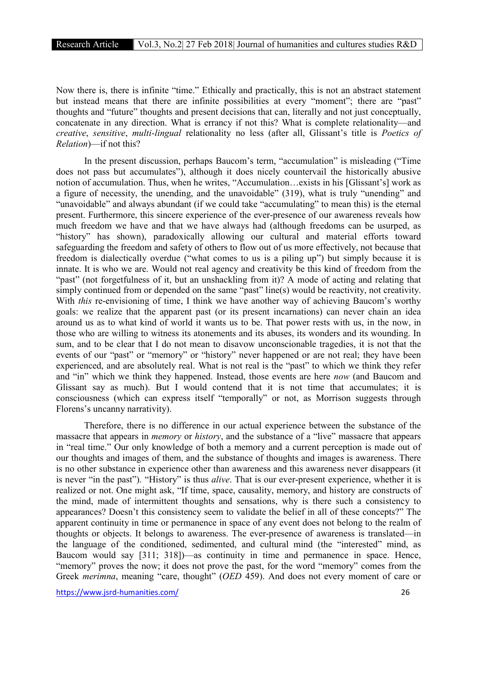Now there is, there is infinite "time." Ethically and practically, this is not an abstract statement but instead means that there are infinite possibilities at every "moment"; there are "past" thoughts and "future" thoughts and present decisions that can, literally and not just conceptually, concatenate in any direction. What is errancy if not this? What is complete relationality—and *creative*, *sensitive*, *multi-lingual* relationality no less (after all, Glissant's title is *Poetics of Relation*)—if not this?

In the present discussion, perhaps Baucom's term, "accumulation" is misleading ("Time does not pass but accumulates"), although it does nicely countervail the historically abusive notion of accumulation. Thus, when he writes, "Accumulation…exists in his [Glissant's] work as a figure of necessity, the unending, and the unavoidable" (319), what is truly "unending" and "unavoidable" and always abundant (if we could take "accumulating" to mean this) is the eternal present. Furthermore, this sincere experience of the ever-presence of our awareness reveals how much freedom we have and that we have always had (although freedoms can be usurped, as "history" has shown), paradoxically allowing our cultural and material efforts toward safeguarding the freedom and safety of others to flow out of us more effectively, not because that freedom is dialectically overdue ("what comes to us is a piling up") but simply because it is innate. It is who we are. Would not real agency and creativity be this kind of freedom from the "past" (not forgetfulness of it, but an unshackling from it)? A mode of acting and relating that simply continued from or depended on the same "past" line(s) would be reactivity, not creativity. With *this* re-envisioning of time, I think we have another way of achieving Baucom's worthy goals: we realize that the apparent past (or its present incarnations) can never chain an idea around us as to what kind of world it wants us to be. That power rests with us, in the now, in those who are willing to witness its atonements and its abuses, its wonders and its wounding. In sum, and to be clear that I do not mean to disavow unconscionable tragedies, it is not that the events of our "past" or "memory" or "history" never happened or are not real; they have been experienced, and are absolutely real. What is not real is the "past" to which we think they refer and "in" which we think they happened. Instead, those events are here *now* (and Baucom and Glissant say as much). But I would contend that it is not time that accumulates; it is consciousness (which can express itself "temporally" or not, as Morrison suggests through Florens's uncanny narrativity).

Therefore, there is no difference in our actual experience between the substance of the massacre that appears in *memory* or *history*, and the substance of a "live" massacre that appears in "real time." Our only knowledge of both a memory and a current perception is made out of our thoughts and images of them, and the substance of thoughts and images is awareness. There is no other substance in experience other than awareness and this awareness never disappears (it is never "in the past"). "History" is thus *alive*. That is our ever-present experience, whether it is realized or not. One might ask, "If time, space, causality, memory, and history are constructs of the mind, made of intermittent thoughts and sensations, why is there such a consistency to appearances? Doesn't this consistency seem to validate the belief in all of these concepts?" The apparent continuity in time or permanence in space of any event does not belong to the realm of thoughts or objects. It belongs to awareness. The ever-presence of awareness is translated—in the language of the conditioned, sedimented, and cultural mind (the "interested" mind, as Baucom would say [311; 318])—as continuity in time and permanence in space. Hence, "memory" proves the now; it does not prove the past, for the word "memory" comes from the Greek *merimna*, meaning "care, thought" (*OED* 459). And does not every moment of care or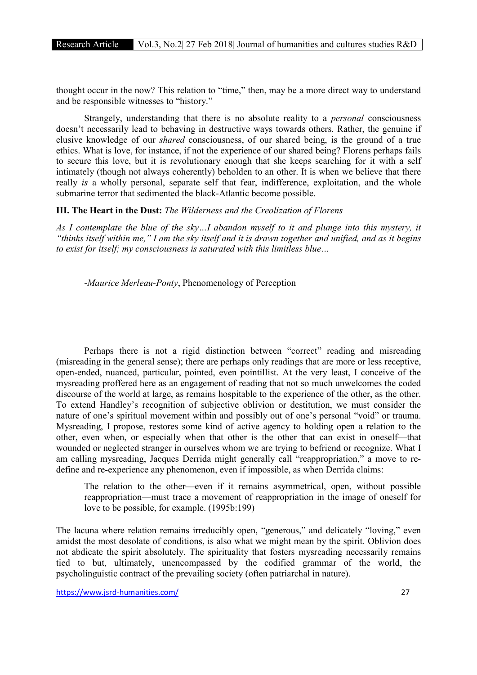thought occur in the now? This relation to "time," then, may be a more direct way to understand and be responsible witnesses to "history."

Strangely, understanding that there is no absolute reality to a *personal* consciousness doesn't necessarily lead to behaving in destructive ways towards others. Rather, the genuine if elusive knowledge of our *shared* consciousness, of our shared being, is the ground of a true ethics. What is love, for instance, if not the experience of our shared being? Florens perhaps fails to secure this love, but it is revolutionary enough that she keeps searching for it with a self intimately (though not always coherently) beholden to an other. It is when we believe that there really *is* a wholly personal, separate self that fear, indifference, exploitation, and the whole submarine terror that sedimented the black-Atlantic become possible.

#### III. The Heart in the Dust: *The Wilderness and the Creolization of Florens*

*As I contemplate the blue of the sky…I abandon myself to it and plunge into this mystery, it "thinks itself within me," I am the sky itself and it is drawn together and unified, and as it begins to exist for itself; my consciousness is saturated with this limitless blue…*

-*Maurice Merleau-Ponty*, Phenomenology of Perception

Perhaps there is not a rigid distinction between "correct" reading and misreading (misreading in the general sense); there are perhaps only readings that are more or less receptive, open-ended, nuanced, particular, pointed, even pointillist. At the very least, I conceive of the mysreading proffered here as an engagement of reading that not so much unwelcomes the coded discourse of the world at large, as remains hospitable to the experience of the other, as the other. To extend Handley's recognition of subjective oblivion or destitution, we must consider the nature of one's spiritual movement within and possibly out of one's personal "void" or trauma. Mysreading, I propose, restores some kind of active agency to holding open a relation to the other, even when, or especially when that other is the other that can exist in oneself—that wounded or neglected stranger in ourselves whom we are trying to befriend or recognize. What I am calling mysreading, Jacques Derrida might generally call "reappropriation," a move to redefine and re-experience any phenomenon, even if impossible, as when Derrida claims:

The relation to the other—even if it remains asymmetrical, open, without possible reappropriation—must trace a movement of reappropriation in the image of oneself for love to be possible, for example. (1995b:199)

The lacuna where relation remains irreducibly open, "generous," and delicately "loving," even amidst the most desolate of conditions, is also what we might mean by the spirit. Oblivion does not abdicate the spirit absolutely. The spirituality that fosters mysreading necessarily remains tied to but, ultimately, unencompassed by the codified grammar of the world, the psycholinguistic contract of the prevailing society (often patriarchal in nature).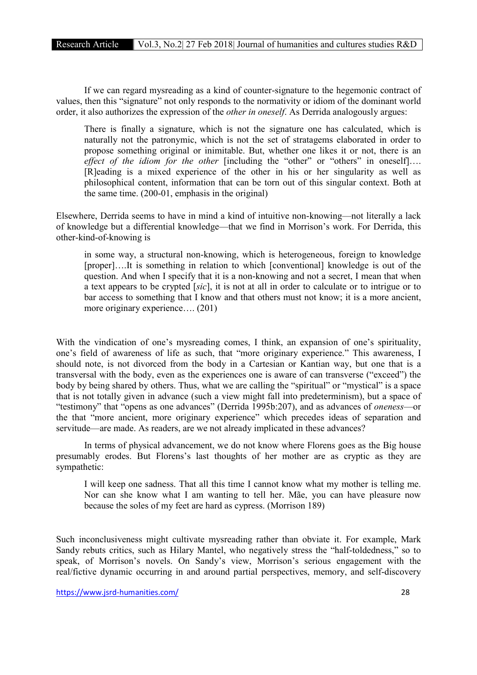If we can regard mysreading as a kind of counter-signature to the hegemonic contract of values, then this "signature" not only responds to the normativity or idiom of the dominant world order, it also authorizes the expression of the *other in oneself*. As Derrida analogously argues:

There is finally a signature, which is not the signature one has calculated, which is naturally not the patronymic, which is not the set of stratagems elaborated in order to propose something original or inimitable. But, whether one likes it or not, there is an *effect of the idiom for the other* [including the "other" or "others" in oneself]…. [R]eading is a mixed experience of the other in his or her singularity as well as philosophical content, information that can be torn out of this singular context. Both at the same time. (200-01, emphasis in the original)

Elsewhere, Derrida seems to have in mind a kind of intuitive non-knowing—not literally a lack of knowledge but a differential knowledge—that we find in Morrison's work. For Derrida, this other-kind-of-knowing is

in some way, a structural non-knowing, which is heterogeneous, foreign to knowledge [proper]….It is something in relation to which [conventional] knowledge is out of the question. And when I specify that it is a non-knowing and not a secret, I mean that when a text appears to be crypted [*sic*], it is not at all in order to calculate or to intrigue or to bar access to something that I know and that others must not know; it is a more ancient, more originary experience…. (201)

With the vindication of one's mysreading comes, I think, an expansion of one's spirituality, one's field of awareness of life as such, that "more originary experience." This awareness, I should note, is not divorced from the body in a Cartesian or Kantian way, but one that is a transversal with the body, even as the experiences one is aware of can transverse ("exceed") the body by being shared by others. Thus, what we are calling the "spiritual" or "mystical" is a space that is not totally given in advance (such a view might fall into predeterminism), but a space of "testimony" that "opens as one advances" (Derrida 1995b:207), and as advances of *oneness*—or the that "more ancient, more originary experience" which precedes ideas of separation and servitude—are made. As readers, are we not already implicated in these advances?

In terms of physical advancement, we do not know where Florens goes as the Big house presumably erodes. But Florens's last thoughts of her mother are as cryptic as they are sympathetic:

I will keep one sadness. That all this time I cannot know what my mother is telling me. Nor can she know what I am wanting to tell her. Mãe, you can have pleasure now because the soles of my feet are hard as cypress. (Morrison 189)

Such inconclusiveness might cultivate mysreading rather than obviate it. For example, Mark Sandy rebuts critics, such as Hilary Mantel, who negatively stress the "half-toldedness," so to speak, of Morrison's novels. On Sandy's view, Morrison's serious engagement with the real/fictive dynamic occurring in and around partial perspectives, memory, and self-discovery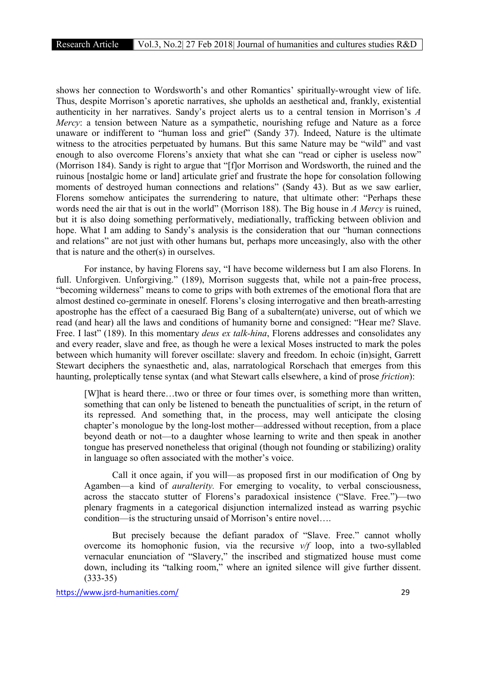shows her connection to Wordsworth's and other Romantics' spiritually-wrought view of life. Thus, despite Morrison's aporetic narratives, she upholds an aesthetical and, frankly, existential authenticity in her narratives. Sandy's project alerts us to a central tension in Morrison's *A Mercy*: a tension between Nature as a sympathetic, nourishing refuge and Nature as a force unaware or indifferent to "human loss and grief" (Sandy 37). Indeed, Nature is the ultimate witness to the atrocities perpetuated by humans. But this same Nature may be "wild" and vast enough to also overcome Florens's anxiety that what she can "read or cipher is useless now" (Morrison 184). Sandy is right to argue that "[f]or Morrison and Wordsworth, the ruined and the ruinous [nostalgic home or land] articulate grief and frustrate the hope for consolation following moments of destroyed human connections and relations" (Sandy 43). But as we saw earlier, Florens somehow anticipates the surrendering to nature, that ultimate other: "Perhaps these words need the air that is out in the world" (Morrison 188). The Big house in *A Mercy* is ruined, but it is also doing something performatively, mediationally, trafficking between oblivion and hope. What I am adding to Sandy's analysis is the consideration that our "human connections and relations" are not just with other humans but, perhaps more unceasingly, also with the other that is nature and the other(s) in ourselves.

For instance, by having Florens say, "I have become wilderness but I am also Florens. In full. Unforgiven. Unforgiving." (189), Morrison suggests that, while not a pain-free process, "becoming wilderness" means to come to grips with both extremes of the emotional flora that are almost destined co-germinate in oneself. Florens's closing interrogative and then breath-arresting apostrophe has the effect of a caesuraed Big Bang of a subaltern(ate) universe, out of which we read (and hear) all the laws and conditions of humanity borne and consigned: "Hear me? Slave. Free. I last" (189). In this momentary *deus ex talk-hina*, Florens addresses and consolidates any and every reader, slave and free, as though he were a lexical Moses instructed to mark the poles between which humanity will forever oscillate: slavery and freedom. In echoic (in)sight, Garrett Stewart deciphers the synaesthetic and, alas, narratological Rorschach that emerges from this haunting, proleptically tense syntax (and what Stewart calls elsewhere, a kind of prose *friction*):

[W]hat is heard there…two or three or four times over, is something more than written, something that can only be listened to beneath the punctualities of script, in the return of its repressed. And something that, in the process, may well anticipate the closing chapter's monologue by the long-lost mother—addressed without reception, from a place beyond death or not—to a daughter whose learning to write and then speak in another tongue has preserved nonetheless that original (though not founding or stabilizing) orality in language so often associated with the mother's voice.

Call it once again, if you will—as proposed first in our modification of Ong by Agamben—a kind of *auralterity.* For emerging to vocality, to verbal consciousness, across the staccato stutter of Florens's paradoxical insistence ("Slave. Free.")—two plenary fragments in a categorical disjunction internalized instead as warring psychic condition—is the structuring unsaid of Morrison's entire novel….

But precisely because the defiant paradox of "Slave. Free." cannot wholly overcome its homophonic fusion, via the recursive *v/f* loop, into a two-syllabled vernacular enunciation of "Slavery," the inscribed and stigmatized house must come down, including its "talking room," where an ignited silence will give further dissent. (333-35)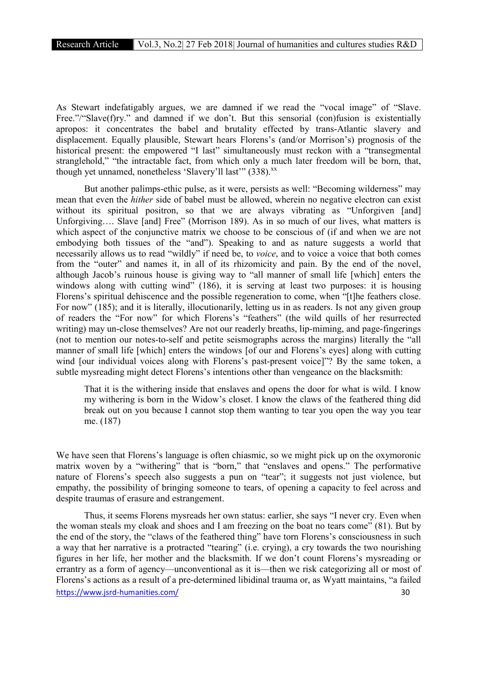As Stewart indefatigably argues, we are damned if we read the "vocal image" of "Slave. Free."/"Slave(f)ry." and damned if we don't. But this sensorial (con)fusion is existentially apropos: it concentrates the babel and brutality effected by trans-Atlantic slavery and displacement. Equally plausible, Stewart hears Florens's (and/or Morrison's) prognosis of the historical present: the empowered "I last" simultaneously must reckon with a "transegmental stranglehold," "the intractable fact, from which only a much later freedom will be born, that, though yet unnamed, nonetheless 'Slavery'll last'"  $(338)$ <sup>xx</sup>

But another palimps-ethic pulse, as it were, persists as well: "Becoming wilderness" may mean that even the *hither* side of babel must be allowed, wherein no negative electron can exist without its spiritual positron, so that we are always vibrating as "Unforgiven [and] Unforgiving…. Slave [and] Free" (Morrison 189). As in so much of our lives, what matters is which aspect of the conjunctive matrix we choose to be conscious of (if and when we are not embodying both tissues of the "and"). Speaking to and as nature suggests a world that necessarily allows us to read "wildly" if need be, to *voice*, and to voice a voice that both comes from the "outer" and names it, in all of its rhizomicity and pain. By the end of the novel, although Jacob's ruinous house is giving way to "all manner of small life [which] enters the windows along with cutting wind" (186), it is serving at least two purposes: it is housing Florens's spiritual dehiscence and the possible regeneration to come, when "[t]he feathers close. For now" (185); and it is literally, illocutionarily, letting us in as readers. Is not any given group of readers the "For now" for which Florens's "feathers" (the wild quills of her resurrected writing) may un-close themselves? Are not our readerly breaths, lip-miming, and page-fingerings (not to mention our notes-to-self and petite seismographs across the margins) literally the "all manner of small life [which] enters the windows [of our and Florens's eyes] along with cutting wind [our individual voices along with Florens's past-present voice]"? By the same token, a subtle mysreading might detect Florens's intentions other than vengeance on the blacksmith:

That it is the withering inside that enslaves and opens the door for what is wild. I know my withering is born in the Widow's closet. I know the claws of the feathered thing did break out on you because I cannot stop them wanting to tear you open the way you tear me. (187)

We have seen that Florens's language is often chiasmic, so we might pick up on the oxymoronic matrix woven by a "withering" that is "born," that "enslaves and opens." The performative nature of Florens's speech also suggests a pun on "tear"; it suggests not just violence, but empathy, the possibility of bringing someone to tears, of opening a capacity to feel across and despite traumas of erasure and estrangement.

https://www.isrd-humanities.com/ 30 Thus, it seems Florens mysreads her own status: earlier, she says "I never cry. Even when the woman steals my cloak and shoes and I am freezing on the boat no tears come" (81). But by the end of the story, the "claws of the feathered thing" have torn Florens's consciousness in such a way that her narrative is a protracted "tearing" (i.e. crying), a cry towards the two nourishing figures in her life, her mother and the blacksmith. If we don't count Florens's mysreading or errantry as a form of agency—unconventional as it is—then we risk categorizing all or most of Florens's actions as a result of a pre-determined libidinal trauma or, as Wyatt maintains, "a failed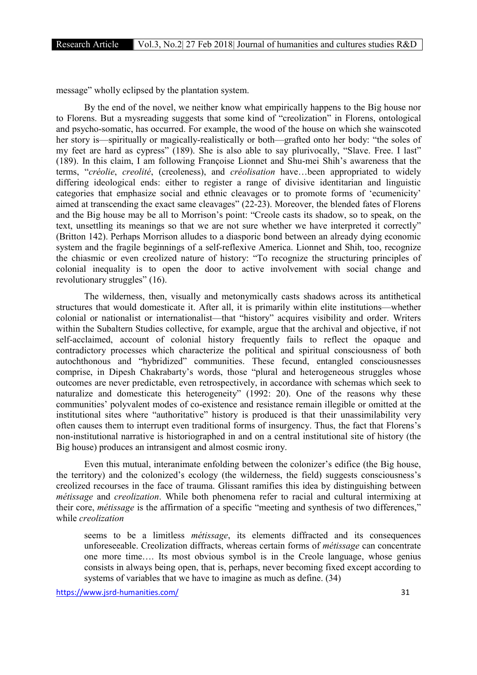message" wholly eclipsed by the plantation system.

By the end of the novel, we neither know what empirically happens to the Big house nor to Florens. But a mysreading suggests that some kind of "creolization" in Florens, ontological and psycho-somatic, has occurred. For example, the wood of the house on which she wainscoted her story is—spiritually or magically-realistically or both—grafted onto her body: "the soles of my feet are hard as cypress" (189). She is also able to say plurivocally, "Slave. Free. I last" (189). In this claim, I am following Françoise Lionnet and Shu-mei Shih's awareness that the terms, "*créolie*, *creolité*, (creoleness), and *créolisation* have…been appropriated to widely differing ideological ends: either to register a range of divisive identitarian and linguistic categories that emphasize social and ethnic cleavages or to promote forms of 'ecumenicity' aimed at transcending the exact same cleavages" (22-23). Moreover, the blended fates of Florens and the Big house may be all to Morrison's point: "Creole casts its shadow, so to speak, on the text, unsettling its meanings so that we are not sure whether we have interpreted it correctly" (Britton 142). Perhaps Morrison alludes to a diasporic bond between an already dying economic system and the fragile beginnings of a self-reflexive America. Lionnet and Shih, too, recognize the chiasmic or even creolized nature of history: "To recognize the structuring principles of colonial inequality is to open the door to active involvement with social change and revolutionary struggles" (16).

The wilderness, then, visually and metonymically casts shadows across its antithetical structures that would domesticate it. After all, it is primarily within elite institutions—whether colonial or nationalist or internationalist—that "history" acquires visibility and order. Writers within the Subaltern Studies collective, for example, argue that the archival and objective, if not self-acclaimed, account of colonial history frequently fails to reflect the opaque and contradictory processes which characterize the political and spiritual consciousness of both autochthonous and "hybridized" communities. These fecund, entangled consciousnesses comprise, in Dipesh Chakrabarty's words, those "plural and heterogeneous struggles whose outcomes are never predictable, even retrospectively, in accordance with schemas which seek to naturalize and domesticate this heterogeneity" (1992: 20). One of the reasons why these communities' polyvalent modes of co-existence and resistance remain illegible or omitted at the institutional sites where "authoritative" history is produced is that their unassimilability very often causes them to interrupt even traditional forms of insurgency. Thus, the fact that Florens's non-institutional narrative is historiographed in and on a central institutional site of history (the Big house) produces an intransigent and almost cosmic irony.

Even this mutual, interanimate enfolding between the colonizer's edifice (the Big house, the territory) and the colonized's ecology (the wilderness, the field) suggests consciousness's creolized recourses in the face of trauma. Glissant ramifies this idea by distinguishing between *métissage* and *creolization*. While both phenomena refer to racial and cultural intermixing at their core, *métissage* is the affirmation of a specific "meeting and synthesis of two differences," while *creolization*

seems to be a limitless *métissage*, its elements diffracted and its consequences unforeseeable. Creolization diffracts, whereas certain forms of *métissage* can concentrate one more time…. Its most obvious symbol is in the Creole language, whose genius consists in always being open, that is, perhaps, never becoming fixed except according to systems of variables that we have to imagine as much as define. (34)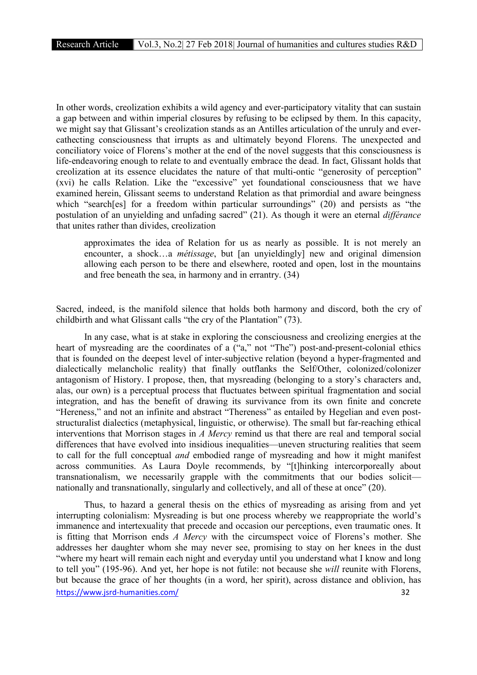In other words, creolization exhibits a wild agency and ever-participatory vitality that can sustain a gap between and within imperial closures by refusing to be eclipsed by them. In this capacity, we might say that Glissant's creolization stands as an Antilles articulation of the unruly and evercathecting consciousness that irrupts as and ultimately beyond Florens. The unexpected and conciliatory voice of Florens's mother at the end of the novel suggests that this consciousness is life-endeavoring enough to relate to and eventually embrace the dead. In fact, Glissant holds that creolization at its essence elucidates the nature of that multi-ontic "generosity of perception" (xvi) he calls Relation. Like the "excessive" yet foundational consciousness that we have examined herein, Glissant seems to understand Relation as that primordial and aware beingness which "search[es] for a freedom within particular surroundings" (20) and persists as "the postulation of an unyielding and unfading sacred" (21). As though it were an eternal *différance*  that unites rather than divides, creolization

approximates the idea of Relation for us as nearly as possible. It is not merely an encounter, a shock…a *métissage*, but [an unyieldingly] new and original dimension allowing each person to be there and elsewhere, rooted and open, lost in the mountains and free beneath the sea, in harmony and in errantry. (34)

Sacred, indeed, is the manifold silence that holds both harmony and discord, both the cry of childbirth and what Glissant calls "the cry of the Plantation" (73).

In any case, what is at stake in exploring the consciousness and creolizing energies at the heart of mysreading are the coordinates of a ("a," not "The") post-and-present-colonial ethics that is founded on the deepest level of inter-subjective relation (beyond a hyper-fragmented and dialectically melancholic reality) that finally outflanks the Self/Other, colonized/colonizer antagonism of History. I propose, then, that mysreading (belonging to a story's characters and, alas, our own) is a perceptual process that fluctuates between spiritual fragmentation and social integration, and has the benefit of drawing its survivance from its own finite and concrete "Hereness," and not an infinite and abstract "Thereness" as entailed by Hegelian and even poststructuralist dialectics (metaphysical, linguistic, or otherwise). The small but far-reaching ethical interventions that Morrison stages in *A Mercy* remind us that there are real and temporal social differences that have evolved into insidious inequalities—uneven structuring realities that seem to call for the full conceptual *and* embodied range of mysreading and how it might manifest across communities. As Laura Doyle recommends, by "[t]hinking intercorporeally about transnationalism, we necessarily grapple with the commitments that our bodies solicit nationally and transnationally, singularly and collectively, and all of these at once" (20).

https://www.jsrd-humanities.com/ 32 Thus, to hazard a general thesis on the ethics of mysreading as arising from and yet interrupting colonialism: Mysreading is but one process whereby we reappropriate the world's immanence and intertexuality that precede and occasion our perceptions, even traumatic ones. It is fitting that Morrison ends *A Mercy* with the circumspect voice of Florens's mother. She addresses her daughter whom she may never see, promising to stay on her knees in the dust "where my heart will remain each night and everyday until you understand what I know and long to tell you" (195-96). And yet, her hope is not futile: not because she *will* reunite with Florens, but because the grace of her thoughts (in a word, her spirit), across distance and oblivion, has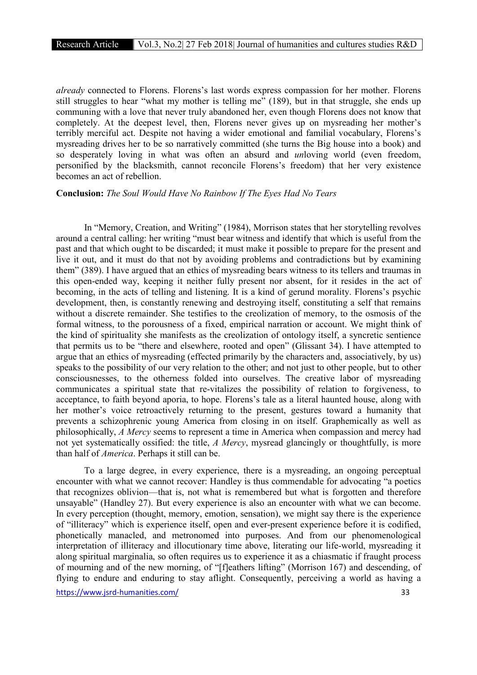*already* connected to Florens. Florens's last words express compassion for her mother. Florens still struggles to hear "what my mother is telling me" (189), but in that struggle, she ends up communing with a love that never truly abandoned her, even though Florens does not know that completely. At the deepest level, then, Florens never gives up on mysreading her mother's terribly merciful act. Despite not having a wider emotional and familial vocabulary, Florens's mysreading drives her to be so narratively committed (she turns the Big house into a book) and so desperately loving in what was often an absurd and *un*loving world (even freedom, personified by the blacksmith, cannot reconcile Florens's freedom) that her very existence becomes an act of rebellion.

#### Conclusion: *The Soul Would Have No Rainbow If The Eyes Had No Tears*

In "Memory, Creation, and Writing" (1984), Morrison states that her storytelling revolves around a central calling: her writing "must bear witness and identify that which is useful from the past and that which ought to be discarded; it must make it possible to prepare for the present and live it out, and it must do that not by avoiding problems and contradictions but by examining them" (389). I have argued that an ethics of mysreading bears witness to its tellers and traumas in this open-ended way, keeping it neither fully present nor absent, for it resides in the act of becoming, in the acts of telling and listening. It is a kind of gerund morality. Florens's psychic development, then, is constantly renewing and destroying itself, constituting a self that remains without a discrete remainder. She testifies to the creolization of memory, to the osmosis of the formal witness, to the porousness of a fixed, empirical narration or account. We might think of the kind of spirituality she manifests as the creolization of ontology itself, a syncretic sentience that permits us to be "there and elsewhere, rooted and open" (Glissant 34). I have attempted to argue that an ethics of mysreading (effected primarily by the characters and, associatively, by us) speaks to the possibility of our very relation to the other; and not just to other people, but to other consciousnesses, to the otherness folded into ourselves. The creative labor of mysreading communicates a spiritual state that re-vitalizes the possibility of relation to forgiveness, to acceptance, to faith beyond aporia, to hope. Florens's tale as a literal haunted house, along with her mother's voice retroactively returning to the present, gestures toward a humanity that prevents a schizophrenic young America from closing in on itself. Graphemically as well as philosophically, *A Mercy* seems to represent a time in America when compassion and mercy had not yet systematically ossified: the title, *A Mercy*, mysread glancingly or thoughtfully, is more than half of *America*. Perhaps it still can be.

To a large degree, in every experience, there is a mysreading, an ongoing perceptual encounter with what we cannot recover: Handley is thus commendable for advocating "a poetics that recognizes oblivion—that is, not what is remembered but what is forgotten and therefore unsayable" (Handley 27). But every experience is also an encounter with what we can become. In every perception (thought, memory, emotion, sensation), we might say there is the experience of "illiteracy" which is experience itself, open and ever-present experience before it is codified, phonetically manacled, and metronomed into purposes. And from our phenomenological interpretation of illiteracy and illocutionary time above, literating our life-world, mysreading it along spiritual marginalia, so often requires us to experience it as a chiasmatic if fraught process of mourning and of the new morning, of "[f]eathers lifting" (Morrison 167) and descending, of flying to endure and enduring to stay aflight. Consequently, perceiving a world as having a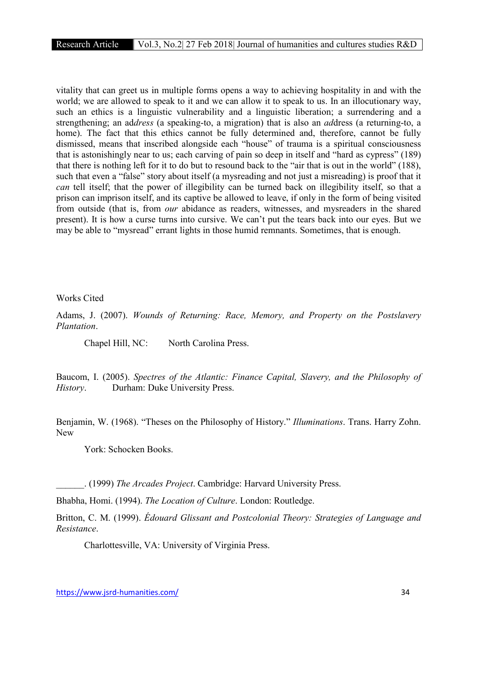vitality that can greet us in multiple forms opens a way to achieving hospitality in and with the world; we are allowed to speak to it and we can allow it to speak to us. In an illocutionary way, such an ethics is a linguistic vulnerability and a linguistic liberation; a surrendering and a strengthening; an ad*dress* (a speaking-to, a migration) that is also an *ad*dress (a returning-to, a home). The fact that this ethics cannot be fully determined and, therefore, cannot be fully dismissed, means that inscribed alongside each "house" of trauma is a spiritual consciousness that is astonishingly near to us; each carving of pain so deep in itself and "hard as cypress" (189) that there is nothing left for it to do but to resound back to the "air that is out in the world" (188), such that even a "false" story about itself (a mysreading and not just a misreading) is proof that it *can* tell itself; that the power of illegibility can be turned back on illegibility itself, so that a prison can imprison itself, and its captive be allowed to leave, if only in the form of being visited from outside (that is, from *our* abidance as readers, witnesses, and mysreaders in the shared present). It is how a curse turns into cursive. We can't put the tears back into our eyes. But we may be able to "mysread" errant lights in those humid remnants. Sometimes, that is enough.

#### Works Cited

Adams, J. (2007). *Wounds of Returning: Race, Memory, and Property on the Postslavery Plantation*.

Chapel Hill, NC: North Carolina Press.

Baucom, I. (2005). *Spectres of the Atlantic: Finance Capital, Slavery, and the Philosophy of History*. Durham: Duke University Press.

Benjamin, W. (1968). "Theses on the Philosophy of History." *Illuminations*. Trans. Harry Zohn. New

York: Schocken Books.

\_\_\_\_\_\_. (1999) *The Arcades Project*. Cambridge: Harvard University Press.

Bhabha, Homi. (1994). *The Location of Culture*. London: Routledge.

Britton, C. M. (1999). *Édouard Glissant and Postcolonial Theory: Strategies of Language and Resistance*.

Charlottesville, VA: University of Virginia Press.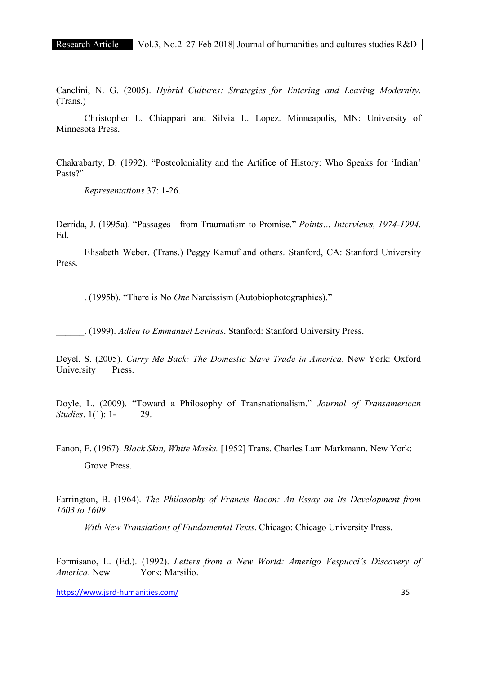Canclini, N. G. (2005). *Hybrid Cultures: Strategies for Entering and Leaving Modernity*. (Trans.)

Christopher L. Chiappari and Silvia L. Lopez. Minneapolis, MN: University of Minnesota Press.

Chakrabarty, D. (1992). "Postcoloniality and the Artifice of History: Who Speaks for 'Indian' Pasts?"

*Representations* 37: 1-26.

Derrida, J. (1995a). "Passages—from Traumatism to Promise." *Points… Interviews, 1974-1994*. Ed.

Elisabeth Weber. (Trans.) Peggy Kamuf and others. Stanford, CA: Stanford University Press.

\_\_\_\_\_\_. (1995b). "There is No *One* Narcissism (Autobiophotographies)."

\_\_\_\_\_\_. (1999). *Adieu to Emmanuel Levinas*. Stanford: Stanford University Press.

Deyel, S. (2005). *Carry Me Back: The Domestic Slave Trade in America*. New York: Oxford University Press.

Doyle, L. (2009). "Toward a Philosophy of Transnationalism." *Journal of Transamerican Studies.* 1(1): 1- 29.

Fanon, F. (1967). *Black Skin, White Masks.* [1952] Trans. Charles Lam Markmann. New York: Grove Press.

Farrington, B. (1964). *The Philosophy of Francis Bacon: An Essay on Its Development from 1603 to 1609* 

*With New Translations of Fundamental Texts*. Chicago: Chicago University Press.

Formisano, L. (Ed.). (1992). *Letters from a New World: Amerigo Vespucci's Discovery of America*. New York: Marsilio.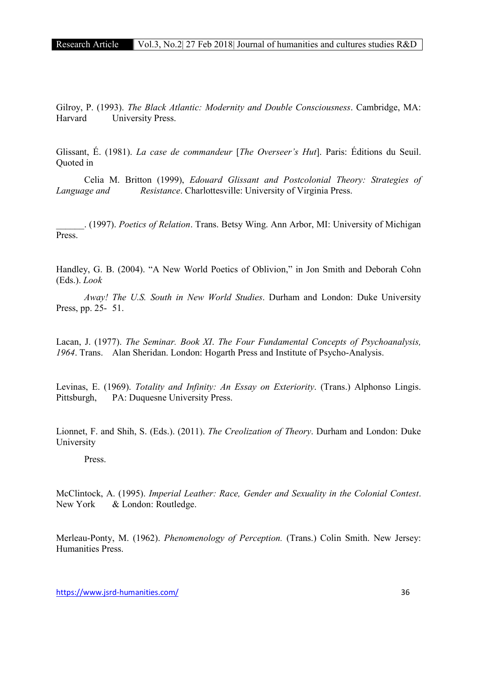Gilroy, P. (1993). *The Black Atlantic: Modernity and Double Consciousness*. Cambridge, MA: Harvard University Press.

Glissant, É. (1981). *La case de commandeur* [*The Overseer's Hut*]. Paris: Éditions du Seuil. Quoted in

Celia M. Britton (1999), *Edouard Glissant and Postcolonial Theory: Strategies of Language and Resistance*. Charlottesville: University of Virginia Press.

\_\_\_\_\_\_. (1997). *Poetics of Relation*. Trans. Betsy Wing. Ann Arbor, MI: University of Michigan Press.

Handley, G. B. (2004). "A New World Poetics of Oblivion," in Jon Smith and Deborah Cohn (Eds.). *Look* 

*Away! The U.S. South in New World Studies*. Durham and London: Duke University Press, pp. 25- 51.

Lacan, J. (1977). *The Seminar. Book XI*. *The Four Fundamental Concepts of Psychoanalysis, 1964*. Trans. Alan Sheridan. London: Hogarth Press and Institute of Psycho-Analysis.

Levinas, E. (1969). *Totality and Infinity: An Essay on Exteriority*. (Trans.) Alphonso Lingis. Pittsburgh, PA: Duquesne University Press.

Lionnet, F. and Shih, S. (Eds.). (2011). *The Creolization of Theory*. Durham and London: Duke University

Press.

McClintock, A. (1995). *Imperial Leather: Race, Gender and Sexuality in the Colonial Contest*. New York & London: Routledge.

Merleau-Ponty, M. (1962). *Phenomenology of Perception.* (Trans.) Colin Smith. New Jersey: Humanities Press.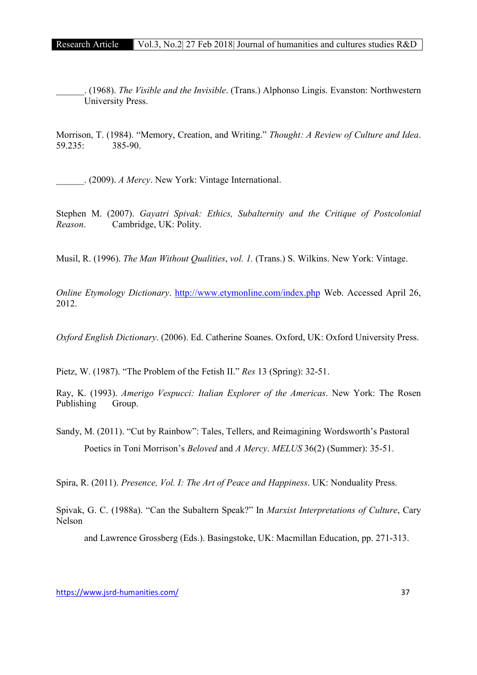\_\_\_\_\_\_. (1968). *The Visible and the Invisible*. (Trans.) Alphonso Lingis. Evanston: Northwestern University Press.

Morrison, T. (1984). "Memory, Creation, and Writing." *Thought: A Review of Culture and Idea*. 59.235: 385-90.

\_\_\_\_\_\_. (2009). *A Mercy*. New York: Vintage International.

Stephen M. (2007). *Gayatri Spivak: Ethics, Subalternity and the Critique of Postcolonial Reason*. Cambridge, UK: Polity.

Musil, R. (1996). *The Man Without Qualities*, *vol. 1.* (Trans.) S. Wilkins. New York: Vintage.

*Online Etymology Dictionary*. http://www.etymonline.com/index.php Web. Accessed April 26, 2012.

*Oxford English Dictionary*. (2006). Ed. Catherine Soanes. Oxford, UK: Oxford University Press.

Pietz, W. (1987). "The Problem of the Fetish II." *Res* 13 (Spring): 32-51.

Ray, K. (1993). *Amerigo Vespucci: Italian Explorer of the Americas*. New York: The Rosen Publishing Group.

Sandy, M. (2011). "Cut by Rainbow": Tales, Tellers, and Reimagining Wordsworth's Pastoral Poetics in Toni Morrison's *Beloved* and *A Mercy*. *MELUS* 36(2) (Summer): 35-51.

Spira, R. (2011). *Presence, Vol. I: The Art of Peace and Happiness*. UK: Nonduality Press.

Spivak, G. C. (1988a). "Can the Subaltern Speak?" In *Marxist Interpretations of Culture*, Cary Nelson

and Lawrence Grossberg (Eds.). Basingstoke, UK: Macmillan Education, pp. 271-313.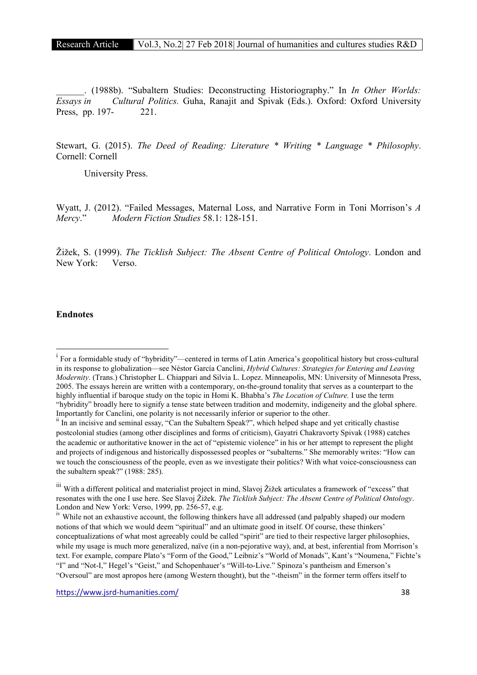\_\_\_\_\_\_. (1988b). "Subaltern Studies: Deconstructing Historiography." In *In Other Worlds: Essays in Cultural Politics.* Guha, Ranajit and Spivak (Eds.). Oxford: Oxford University Press, pp. 197- 221.

Stewart, G. (2015). *The Deed of Reading: Literature \* Writing \* Language \* Philosophy*. Cornell: Cornell

University Press.

Wyatt, J. (2012). "Failed Messages, Maternal Loss, and Narrative Form in Toni Morrison's *A Mercy*." *Modern Fiction Studies* 58.1: 128-151.

Žižek, S. (1999). *The Ticklish Subject: The Absent Centre of Political Ontology*. London and New York: Verso.

#### Endnotes

i For a formidable study of "hybridity"—centered in terms of Latin America's geopolitical history but cross-cultural in its response to globalization—see Néstor García Canclini, *Hybrid Cultures: Strategies for Entering and Leaving Modernity*. (Trans.) Christopher L. Chiappari and Silvia L. Lopez. Minneapolis, MN: University of Minnesota Press, 2005. The essays herein are written with a contemporary, on-the-ground tonality that serves as a counterpart to the highly influential if baroque study on the topic in Homi K. Bhabha's *The Location of Culture.* I use the term "hybridity" broadly here to signify a tense state between tradition and modernity, indigeneity and the global sphere. Importantly for Canclini, one polarity is not necessarily inferior or superior to the other.

<sup>&</sup>lt;sup>ii</sup> In an incisive and seminal essay, "Can the Subaltern Speak?", which helped shape and yet critically chastise postcolonial studies (among other disciplines and forms of criticism), Gayatri Chakravorty Spivak (1988) catches the academic or authoritative knower in the act of "epistemic violence" in his or her attempt to represent the plight and projects of indigenous and historically dispossessed peoples or "subalterns." She memorably writes: "How can we touch the consciousness of the people, even as we investigate their politics? With what voice-consciousness can the subaltern speak?" (1988: 285).

iii With a different political and materialist project in mind, Slavoj Žižek articulates a framework of "excess" that resonates with the one I use here. See Slavoj Žižek. *The Ticklish Subject: The Absent Centre of Political Ontology*. London and New York: Verso, 1999, pp. 256-57, e.g.

<sup>&</sup>lt;sup>iv</sup> While not an exhaustive account, the following thinkers have all addressed (and palpably shaped) our modern notions of that which we would deem "spiritual" and an ultimate good in itself. Of course, these thinkers' conceptualizations of what most agreeably could be called "spirit" are tied to their respective larger philosophies, while my usage is much more generalized, naïve (in a non-pejorative way), and, at best, inferential from Morrison's text. For example, compare Plato's "Form of the Good," Leibniz's "World of Monads", Kant's "Noumena," Fichte's "I" and "Not-I," Hegel's "Geist," and Schopenhauer's "Will-to-Live." Spinoza's pantheism and Emerson's "Oversoul" are most apropos here (among Western thought), but the "-theism" in the former term offers itself to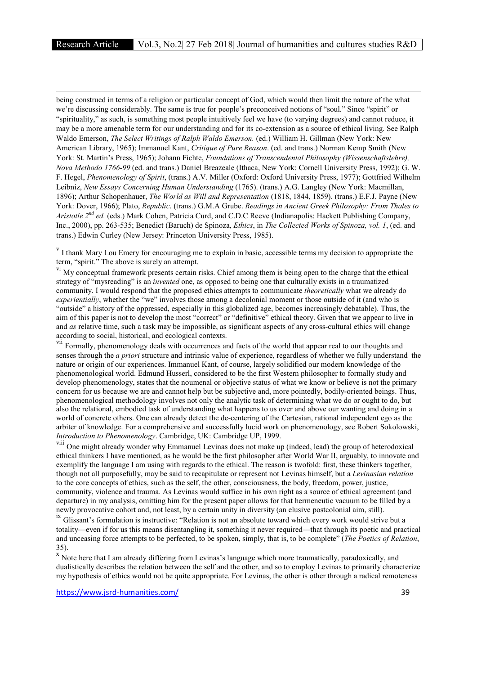**.** 

being construed in terms of a religion or particular concept of God, which would then limit the nature of the what we're discussing considerably. The same is true for people's preconceived notions of "soul." Since "spirit" or "spirituality," as such, is something most people intuitively feel we have (to varying degrees) and cannot reduce, it may be a more amenable term for our understanding and for its co-extension as a source of ethical living. See Ralph Waldo Emerson, *The Select Writings of Ralph Waldo Emerson.* (ed.) William H. Gillman (New York: New American Library, 1965); Immanuel Kant, *Critique of Pure Reason*. (ed. and trans.) Norman Kemp Smith (New York: St. Martin's Press, 1965); Johann Fichte, *Foundations of Transcendental Philosophy (Wissenschaftslehre), Nova Methodo 1766-99* (ed. and trans.) Daniel Breazeale (Ithaca, New York: Cornell University Press, 1992); G. W. F. Hegel, *Phenomenology of Spirit*, (trans.) A.V. Miller (Oxford: Oxford University Press, 1977); Gottfried Wilhelm Leibniz, *New Essays Concerning Human Understanding* (1765). (trans.) A.G. Langley (New York: Macmillan, 1896); Arthur Schopenhauer, *The World as Will and Representation* (1818, 1844, 1859). (trans.) E.F.J. Payne (New York: Dover, 1966); Plato, *Republic*. (trans.) G.M.A Grube. *Readings in Ancient Greek Philosophy: From Thales to Aristotle 2nd ed.* (eds.) Mark Cohen, Patricia Curd, and C.D.C Reeve (Indianapolis: Hackett Publishing Company, Inc., 2000), pp. 263-535; Benedict (Baruch) de Spinoza, *Ethics*, in *The Collected Works of Spinoza, vol. 1*, (ed. and trans.) Edwin Curley (New Jersey: Princeton University Press, 1985).

<sup>v</sup> I thank Mary Lou Emery for encouraging me to explain in basic, accessible terms my decision to appropriate the term, "spirit." The above is surely an attempt.

<sup>vi</sup> My conceptual framework presents certain risks. Chief among them is being open to the charge that the ethical strategy of "mysreading" is an *invented* one, as opposed to being one that culturally exists in a traumatized community. I would respond that the proposed ethics attempts to communicate *theoretically* what we already do *experientially*, whether the "we" involves those among a decolonial moment or those outside of it (and who is "outside" a history of the oppressed, especially in this globalized age, becomes increasingly debatable). Thus, the aim of this paper is not to develop the most "correct" or "definitive" ethical theory. Given that we appear to live in and *as* relative time, such a task may be impossible, as significant aspects of any cross-cultural ethics will change according to social, historical, and ecological contexts.

<sup>VII</sup> Formally, phenomenology deals with occurrences and facts of the world that appear real to our thoughts and senses through the *a priori* structure and intrinsic value of experience, regardless of whether we fully understand the nature or origin of our experiences. Immanuel Kant, of course, largely solidified our modern knowledge of the phenomenological world. Edmund Husserl, considered to be the first Western philosopher to formally study and develop phenomenology, states that the noumenal or objective status of what we know or believe is not the primary concern for us because we are and cannot help but be subjective and, more pointedly, bodily-oriented beings. Thus, phenomenological methodology involves not only the analytic task of determining what we do or ought to do, but also the relational, embodied task of understanding what happens to us over and above our wanting and doing in a world of concrete others. One can already detect the de-centering of the Cartesian, rational independent ego as the arbiter of knowledge. For a comprehensive and successfully lucid work on phenomenology, see Robert Sokolowski, *Introduction to Phenomenology*. Cambridge, UK: Cambridge UP, 1999.

viii One might already wonder why Emmanuel Levinas does not make up (indeed, lead) the group of heterodoxical ethical thinkers I have mentioned, as he would be the first philosopher after World War II, arguably, to innovate and exemplify the language I am using with regards to the ethical. The reason is twofold: first, these thinkers together, though not all purposefully, may be said to recapitulate or represent not Levinas himself, but a *Levinasian relation*  to the core concepts of ethics, such as the self, the other, consciousness, the body, freedom, power, justice, community, violence and trauma. As Levinas would suffice in his own right as a source of ethical agreement (and departure) in my analysis, omitting him for the present paper allows for that hermeneutic vacuum to be filled by a newly provocative cohort and, not least, by a certain unity in diversity (an elusive postcolonial aim, still).

<sup>ix</sup> Glissant's formulation is instructive: "Relation is not an absolute toward which every work would strive but a totality—even if for us this means disentangling it, something it never required—that through its poetic and practical and unceasing force attempts to be perfected, to be spoken, simply, that is, to be complete" (*The Poetics of Relation*, 35).

<sup>x</sup> Note here that I am already differing from Levinas's language which more traumatically, paradoxically, and dualistically describes the relation between the self and the other, and so to employ Levinas to primarily characterize my hypothesis of ethics would not be quite appropriate. For Levinas, the other is other through a radical remoteness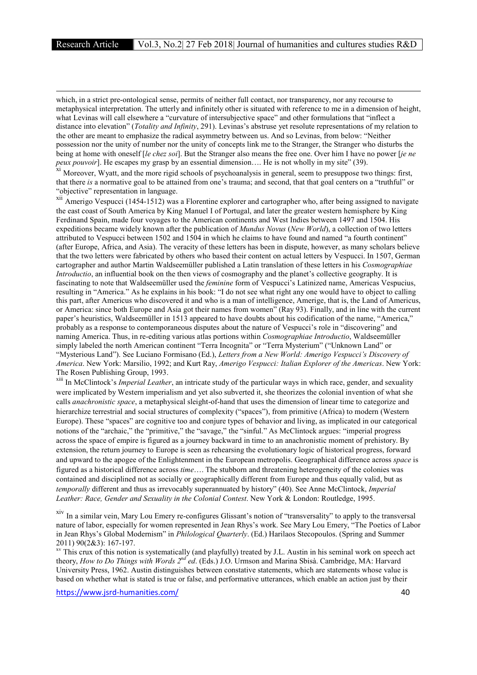**.** 

which, in a strict pre-ontological sense, permits of neither full contact, nor transparency, nor any recourse to metaphysical interpretation. The utterly and infinitely other is situated with reference to me in a dimension of height, what Levinas will call elsewhere a "curvature of intersubjective space" and other formulations that "inflect a distance into elevation" (*Totality and Infinity*, 291). Levinas's abstruse yet resolute representations of my relation to the other are meant to emphasize the radical asymmetry between us. And so Levinas, from below: "Neither possession nor the unity of number nor the unity of concepts link me to the Stranger, the Stranger who disturbs the being at home with oneself [*le chez soi*]. But the Stranger also means the free one. Over him I have no power [*je ne peux pouvoir*]. He escapes my grasp by an essential dimension.... He is not wholly in my site" (39).

<sup>xi</sup> Moreover, Wyatt, and the more rigid schools of psychoanalysis in general, seem to presuppose two things: first, that there *is* a normative goal to be attained from one's trauma; and second, that that goal centers on a "truthful" or "objective" representation in language.

xii Amerigo Vespucci (1454-1512) was a Florentine explorer and cartographer who, after being assigned to navigate the east coast of South America by King Manuel I of Portugal, and later the greater western hemisphere by King Ferdinand Spain, made four voyages to the American continents and West Indies between 1497 and 1504. His expeditions became widely known after the publication of *Mundus Novus* (*New World*), a collection of two letters attributed to Vespucci between 1502 and 1504 in which he claims to have found and named "a fourth continent" (after Europe, Africa, and Asia). The veracity of these letters has been in dispute, however, as many scholars believe that the two letters were fabricated by others who based their content on actual letters by Vespucci. In 1507, German cartographer and author Martin Waldseemüller published a Latin translation of these letters in his *Cosmographiae Introductio*, an influential book on the then views of cosmography and the planet's collective geography. It is fascinating to note that Waldseemüller used the *feminine* form of Vespucci's Latinized name, Americas Vespucius, resulting in "America." As he explains in his book: "I do not see what right any one would have to object to calling this part, after Americus who discovered it and who is a man of intelligence, Amerige, that is, the Land of Americus, or America: since both Europe and Asia got their names from women" (Ray 93). Finally, and in line with the current paper's heuristics, Waldseemüller in 1513 appeared to have doubts about his codification of the name, "America," probably as a response to contemporaneous disputes about the nature of Vespucci's role in "discovering" and naming America. Thus, in re-editing various atlas portions within *Cosmographiae Introductio*, Waldseemüller simply labeled the north American continent "Terra Incognita" or "Terra Mysterium" ("Unknown Land" or "Mysterious Land"). See Luciano Formisano (Ed.), *Letters from a New World: Amerigo Vespucci's Discovery of America*. New York: Marsilio, 1992; and Kurt Ray, *Amerigo Vespucci: Italian Explorer of the Americas*. New York: The Rosen Publishing Group, 1993.

xiii In McClintock's *Imperial Leather*, an intricate study of the particular ways in which race, gender, and sexuality were implicated by Western imperialism and yet also subverted it, she theorizes the colonial invention of what she calls *anachronistic space*, a metaphysical sleight-of-hand that uses the dimension of linear time to categorize and hierarchize terrestrial and social structures of complexity ("spaces"), from primitive (Africa) to modern (Western Europe). These "spaces" are cognitive too and conjure types of behavior and living, as implicated in our categorical notions of the "archaic," the "primitive," the "savage," the "sinful." As McClintock argues: "imperial progress across the space of empire is figured as a journey backward in time to an anachronistic moment of prehistory. By extension, the return journey to Europe is seen as rehearsing the evolutionary logic of historical progress, forward and upward to the apogee of the Enlightenment in the European metropolis. Geographical difference across *space* is figured as a historical difference across *time*…. The stubborn and threatening heterogeneity of the colonies was contained and disciplined not as socially or geographically different from Europe and thus equally valid, but as *temporally* different and thus as irrevocably superannuated by history" (40). See Anne McClintock, *Imperial Leather: Race, Gender and Sexuality in the Colonial Contest*. New York & London: Routledge, 1995.

xiv In a similar vein, Mary Lou Emery re-configures Glissant's notion of "transversality" to apply to the transversal nature of labor, especially for women represented in Jean Rhys's work. See Mary Lou Emery, "The Poetics of Labor in Jean Rhys's Global Modernism" in *Philological Quarterly*. (Ed.) Harilaos Stecopoulos. (Spring and Summer 2011) 90(2&3): 167-197.<br><sup>xv</sup> This crux of this notion is systematically (and playfully) treated by J.L. Austin in his seminal work on speech act

theory, *How to Do Things with Words 2nd ed*. (Eds.) J.O. Urmson and Marina Sbisà. Cambridge, MA: Harvard University Press, 1962. Austin distinguishes between constative statements, which are statements whose value is based on whether what is stated is true or false, and performative utterances, which enable an action just by their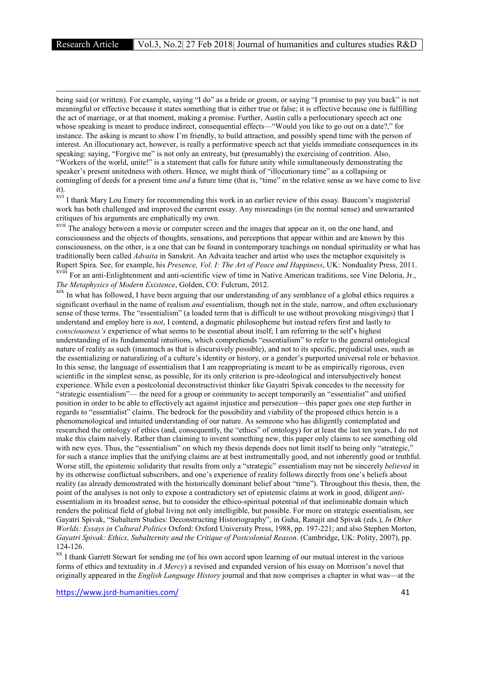**.** 

being said (or written). For example, saying "I do" as a bride or groom, or saying "I promise to pay you back" is not meaningful or effective because it states something that is either true or false; it is effective because one is fulfilling the act of marriage, or at that moment, making a promise. Further, Austin calls a perlocutionary speech act one whose speaking is meant to produce indirect, consequential effects—"Would you like to go out on a date?," for instance. The asking is meant to show I'm friendly, to build attraction, and possibly spend time with the person of interest. An illocutionary act, however, is really a performative speech act that yields immediate consequences in its speaking: saying, "Forgive me" is not only an entreaty, but (presumably) the exercising of contrition. Also, "Workers of the world, unite!" is a statement that calls for future unity while simultaneously demonstrating the speaker's present unitedness with others. Hence, we might think of "illocutionary time" as a collapsing or comingling of deeds for a present time *and* a future time (that is, "time" in the relative sense as we have come to live it).

<sup>xvi</sup> I thank Mary Lou Emery for recommending this work in an earlier review of this essay. Baucom's magisterial work has both challenged and improved the current essay. Any misreadings (in the normal sense) and unwarranted critiques of his arguments are emphatically my own.

<sup>xvii</sup> The analogy between a movie or computer screen and the images that appear on it, on the one hand, and consciousness and the objects of thoughts, sensations, and perceptions that appear within and are known by this consciousness, on the other, is a one that can be found in contemporary teachings on nondual spirituality or what has traditionally been called *Advaita* in Sanskrit. An Advaita teacher and artist who uses the metaphor exquisitely is Rupert Spira. See, for example, his *Presence, Vol. I: The Art of Peace and Happiness*, UK: Nonduality Press, 2011. xviii For an anti-Enlightenment and anti-scientific view of time in Native American traditions, see Vine Deloria, Jr.,

*The Metaphysics of Modern Existence*, Golden, CO: Fulcrum, 2012.

xix In what has followed. I have been arguing that our understanding of any semblance of a global ethics requires a significant overhaul in the name of realism *and* essentialism, though not in the stale, narrow, and often exclusionary sense of these terms. The "essentialism" (a loaded term that is difficult to use without provoking misgivings) that I understand and employ here is *not*, I contend, a dogmatic philosopheme but instead refers first and lastly to *consciousness's* experience of what seems to be essential about itself; I am referring to the self's highest understanding of its fundamental intuitions, which comprehends "essentialism" to refer to the general ontological nature of reality as such (inasmuch as that is discursively possible), and not to its specific, prejudicial uses, such as the essentializing or naturalizing of a culture's identity or history, or a gender's purported universal role or behavior. In this sense, the language of essentialism that I am reappropriating is meant to be as empirically rigorous, even scientific in the simplest sense, as possible, for its only criterion is pre-ideological and intersubjectively honest experience. While even a postcolonial deconstructivist thinker like Gayatri Spivak concedes to the necessity for "strategic essentialism"— the need for a group or community to accept temporarily an "essentialist" and unified position in order to be able to effectively act against injustice and persecution—this paper goes one step further in regards to "essentialist" claims. The bedrock for the possibility and viability of the proposed ethics herein is a phenomenological and intuited understanding of our nature. As someone who has diligently contemplated and researched the ontology of ethics (and, consequently, the "ethics" of ontology) for at least the last ten years, I do not make this claim naively. Rather than claiming to invent something new, this paper only claims to see something old with new eyes. Thus, the "essentialism" on which my thesis depends does not limit itself to being only "strategic," for such a stance implies that the unifying claims are at best instrumentally good, and not inherently good or truthful. Worse still, the epistemic solidarity that results from only a "strategic" essentialism may not be sincerely *believed* in by its otherwise conflictual subscribers, and one's experience of reality follows directly from one's beliefs about reality (as already demonstrated with the historically dominant belief about "time"). Throughout this thesis, then, the point of the analyses is not only to expose a contradictory set of epistemic claims at work in good, diligent *anti*essentialism in its broadest sense, but to consider the ethico-spiritual potential of that ineliminable domain which renders the political field of global living not only intelligible, but possible. For more on strategic essentialism, see Gayatri Spivak, "Subaltern Studies: Deconstructing Historiography", in Guha, Ranajit and Spivak (eds.), *In Other Worlds: Essays in Cultural Politics* Oxford: Oxford University Press, 1988, pp. 197-221; and also Stephen Morton, *Gayatri Spivak: Ethics, Subalternity and the Critique of Postcolonial Reason*. (Cambridge, UK: Polity, 2007), pp. 124-126. xx I thank Garrett Stewart for sending me (of his own accord upon learning of our mutual interest in the various

forms of ethics and textuality in *A Mercy*) a revised and expanded version of his essay on Morrison's novel that originally appeared in the *English Language History* journal and that now comprises a chapter in what was—at the